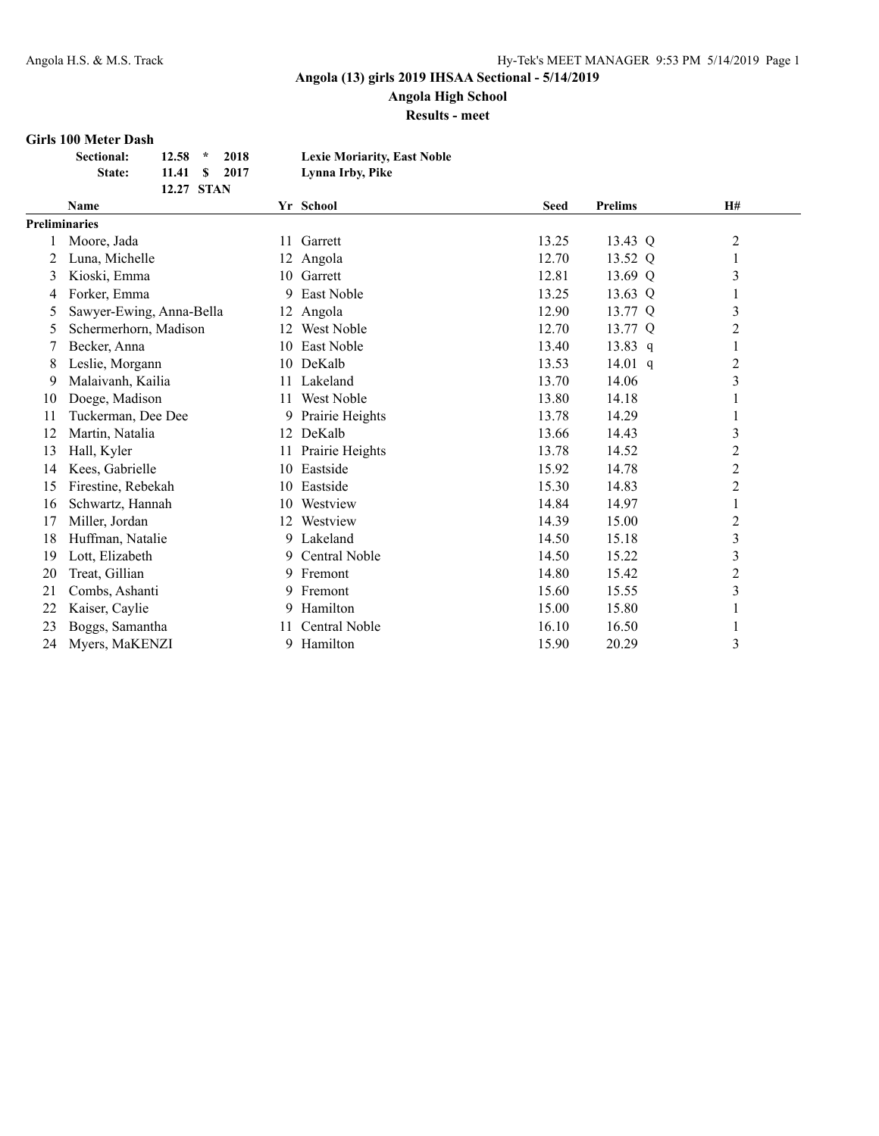**Angola High School**

**Results - meet**

#### **Girls 100 Meter Dash**

| Sectional:    | $12.58$ *  | 2018          | <b>Lexie Moriarity, East Noble</b> |
|---------------|------------|---------------|------------------------------------|
| <b>State:</b> |            | 11.41 \$ 2017 | Lynna Irby, Pike                   |
|               | 12.27 STAN |               |                                    |

|                      | Name                     |     | Yr School       | <b>Seed</b> | <b>Prelims</b> | <b>H#</b>      |
|----------------------|--------------------------|-----|-----------------|-------------|----------------|----------------|
| <b>Preliminaries</b> |                          |     |                 |             |                |                |
|                      | Moore, Jada              | 11  | Garrett         | 13.25       | 13.43 Q        | $\overline{c}$ |
| 2                    | Luna, Michelle           |     | 12 Angola       | 12.70       | 13.52 Q        | 1              |
| 3                    | Kioski, Emma             | 10. | Garrett         | 12.81       | 13.69 Q        | $\mathfrak{Z}$ |
| 4                    | Forker, Emma             | 9   | East Noble      | 13.25       | 13.63 Q        | 1              |
| 5                    | Sawyer-Ewing, Anna-Bella | 12  | Angola          | 12.90       | 13.77 Q        | $\mathfrak{Z}$ |
| 5                    | Schermerhorn, Madison    | 12  | West Noble      | 12.70       | 13.77 Q        | $\overline{2}$ |
|                      | Becker, Anna             | 10  | East Noble      | 13.40       | 13.83 $q$      | 1              |
| 8                    | Leslie, Morgann          |     | 10 DeKalb       | 13.53       | 14.01 $q$      | $\overline{c}$ |
| 9                    | Malaivanh, Kailia        | 11  | Lakeland        | 13.70       | 14.06          | 3              |
| 10                   | Doege, Madison           | 11  | West Noble      | 13.80       | 14.18          |                |
| 11                   | Tuckerman, Dee Dee       | 9   | Prairie Heights | 13.78       | 14.29          |                |
| 12                   | Martin, Natalia          | 12  | DeKalb          | 13.66       | 14.43          | $\mathfrak{Z}$ |
| 13                   | Hall, Kyler              | 11  | Prairie Heights | 13.78       | 14.52          | $\overline{c}$ |
| 14                   | Kees, Gabrielle          | 10  | Eastside        | 15.92       | 14.78          | $\overline{2}$ |
| 15                   | Firestine, Rebekah       | 10  | Eastside        | 15.30       | 14.83          | $\overline{c}$ |
| 16                   | Schwartz, Hannah         | 10  | Westview        | 14.84       | 14.97          | $\mathbf{1}$   |
| 17                   | Miller, Jordan           | 12  | Westview        | 14.39       | 15.00          | $\overline{c}$ |
| 18                   | Huffman, Natalie         | 9   | Lakeland        | 14.50       | 15.18          | $\mathfrak{Z}$ |
| 19                   | Lott, Elizabeth          |     | 9 Central Noble | 14.50       | 15.22          | $\mathfrak{Z}$ |
| 20                   | Treat, Gillian           |     | 9 Fremont       | 14.80       | 15.42          | $\overline{c}$ |
| 21                   | Combs, Ashanti           | 9   | Fremont         | 15.60       | 15.55          | 3              |
| 22                   | Kaiser, Caylie           | 9.  | Hamilton        | 15.00       | 15.80          | 1              |
| 23                   | Boggs, Samantha          | 11. | Central Noble   | 16.10       | 16.50          | 1              |
| 24                   | Myers, MaKENZI           | 9   | Hamilton        | 15.90       | 20.29          | 3              |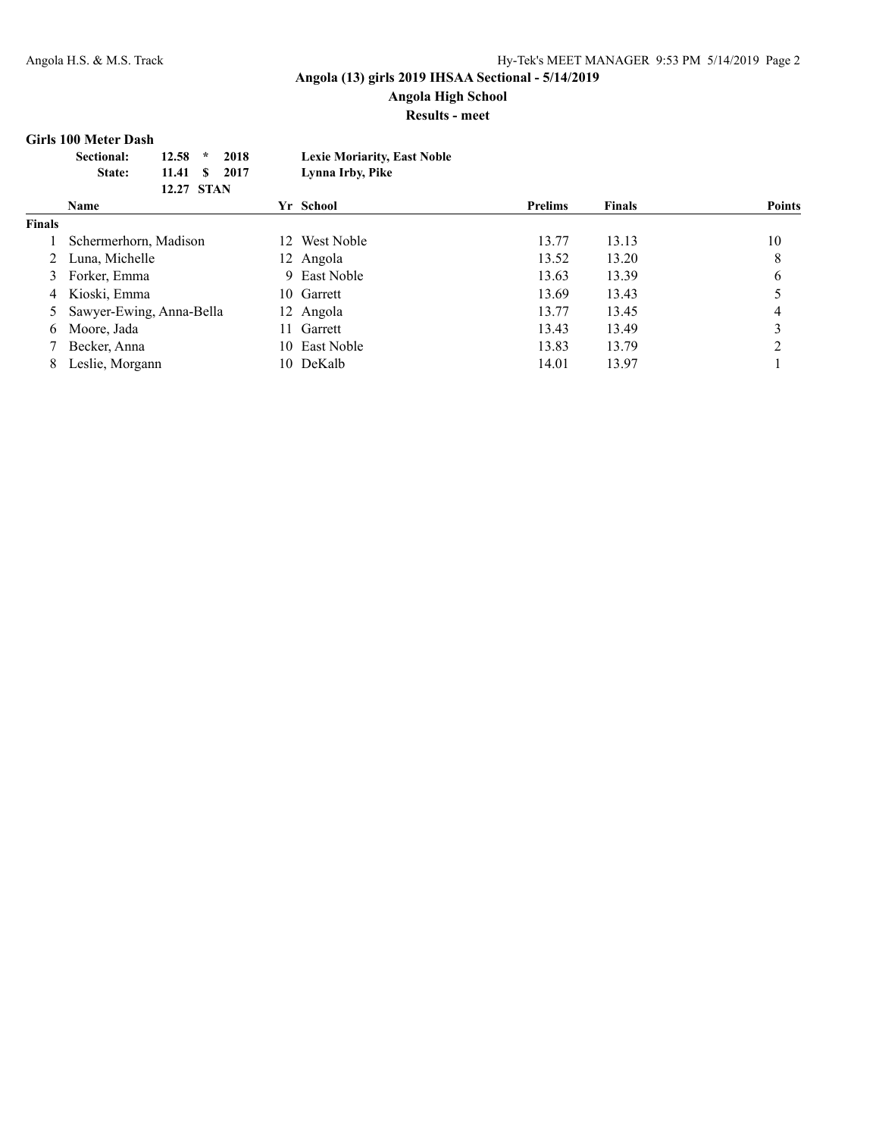**Angola High School Results - meet**

#### **Girls 100 Meter Dash**

| <b>Sectional:</b><br>State: | 2018<br>12.58<br>$\star$<br>11.41 \$ 2017<br>12.27 STAN | <b>Lexie Moriarity, East Noble</b><br>Lynna Irby, Pike |                |               |        |
|-----------------------------|---------------------------------------------------------|--------------------------------------------------------|----------------|---------------|--------|
| Name                        |                                                         | Yr School                                              | <b>Prelims</b> | <b>Finals</b> | Points |

|               | глание                     | 11 эсноог     | 1 генив | т шаіз | т опиз |
|---------------|----------------------------|---------------|---------|--------|--------|
| <b>Finals</b> |                            |               |         |        |        |
|               | Schermerhorn, Madison      | 12 West Noble | 13.77   | 13.13  | 10     |
|               | Luna, Michelle             | 12 Angola     | 13.52   | 13.20  | 8      |
| 3             | Forker, Emma               | 9 East Noble  | 13.63   | 13.39  | 6      |
|               | 4 Kioski, Emma             | 10 Garrett    | 13.69   | 13.43  |        |
|               | 5 Sawyer-Ewing, Anna-Bella | 12 Angola     | 13.77   | 13.45  | 4      |
| 6.            | Moore, Jada                | 11 Garrett    | 13.43   | 13.49  |        |
|               | Becker, Anna               | 10 East Noble | 13.83   | 13.79  |        |
|               | Leslie, Morgann            | 10 DeKalb     | 14.01   | 13.97  |        |
|               |                            |               |         |        |        |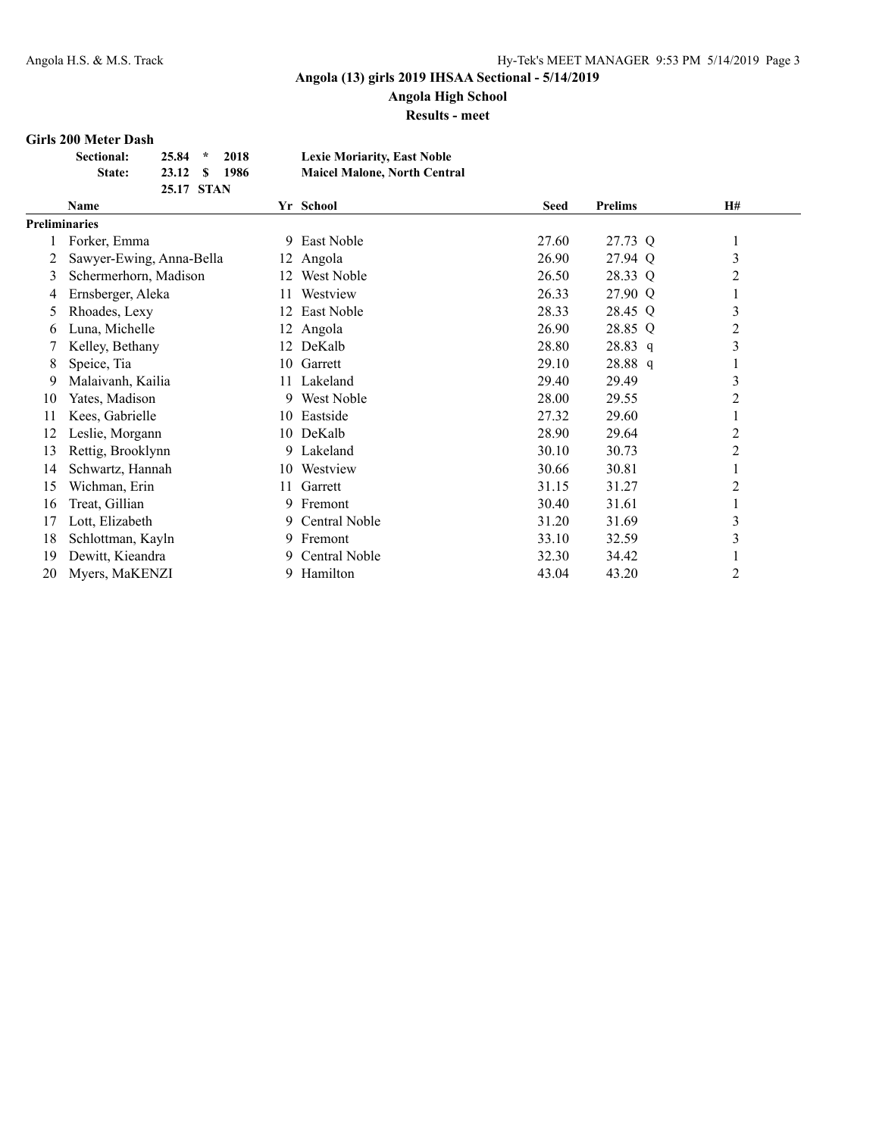## **Angola High School**

**Results - meet**

#### **Girls 200 Meter Dash**

| <b>Sectional:</b> | $25.84$ *  | 2018          | <b>Lexie Moriarity, East Noble</b>  |
|-------------------|------------|---------------|-------------------------------------|
| State:            |            | 23.12 \$ 1986 | <b>Maicel Malone, North Central</b> |
|                   | 25.17 STAN |               |                                     |

|               | Name                     |     | Yr School     | <b>Seed</b> | <b>Prelims</b> | H#             |
|---------------|--------------------------|-----|---------------|-------------|----------------|----------------|
| Preliminaries |                          |     |               |             |                |                |
|               | Forker, Emma             | 9.  | East Noble    | 27.60       | 27.73 Q        | $\mathbf{I}$   |
|               | Sawyer-Ewing, Anna-Bella |     | 12 Angola     | 26.90       | 27.94 Q        | 3              |
| 3             | Schermerhorn, Madison    | 12  | West Noble    | 26.50       | 28.33 Q        | 2              |
| 4             | Ernsberger, Aleka        | 11. | Westview      | 26.33       | 27.90 Q        |                |
| 5             | Rhoades, Lexy            | 12. | East Noble    | 28.33       | 28.45 Q        | 3              |
| 6             | Luna, Michelle           | 12  | Angola        | 26.90       | 28.85 Q        | $\overline{2}$ |
|               | Kelley, Bethany          | 12  | DeKalb        | 28.80       | $28.83$ q      | 3              |
| 8             | Speice, Tia              | 10  | Garrett       | 29.10       | 28.88 q        |                |
| 9             | Malaivanh, Kailia        | 11- | Lakeland      | 29.40       | 29.49          | 3              |
| 10            | Yates, Madison           |     | 9 West Noble  | 28.00       | 29.55          | 2              |
| 11            | Kees, Gabrielle          | 10. | Eastside      | 27.32       | 29.60          |                |
| 12            | Leslie, Morgann          |     | 10 DeKalb     | 28.90       | 29.64          | 2              |
| 13            | Rettig, Brooklynn        |     | 9 Lakeland    | 30.10       | 30.73          | 2              |
| 14            | Schwartz, Hannah         | 10- | Westview      | 30.66       | 30.81          |                |
| 15            | Wichman, Erin            | 11  | Garrett       | 31.15       | 31.27          | $\overline{c}$ |
| 16            | Treat, Gillian           |     | 9 Fremont     | 30.40       | 31.61          | -1             |
| 17            | Lott, Elizabeth          | 9.  | Central Noble | 31.20       | 31.69          | $\mathfrak{Z}$ |
| 18            | Schlottman, Kayln        | 9.  | Fremont       | 33.10       | 32.59          | 3              |
| 19            | Dewitt, Kieandra         | 9.  | Central Noble | 32.30       | 34.42          |                |
| 20            | Myers, MaKENZI           | 9.  | Hamilton      | 43.04       | 43.20          | $\overline{c}$ |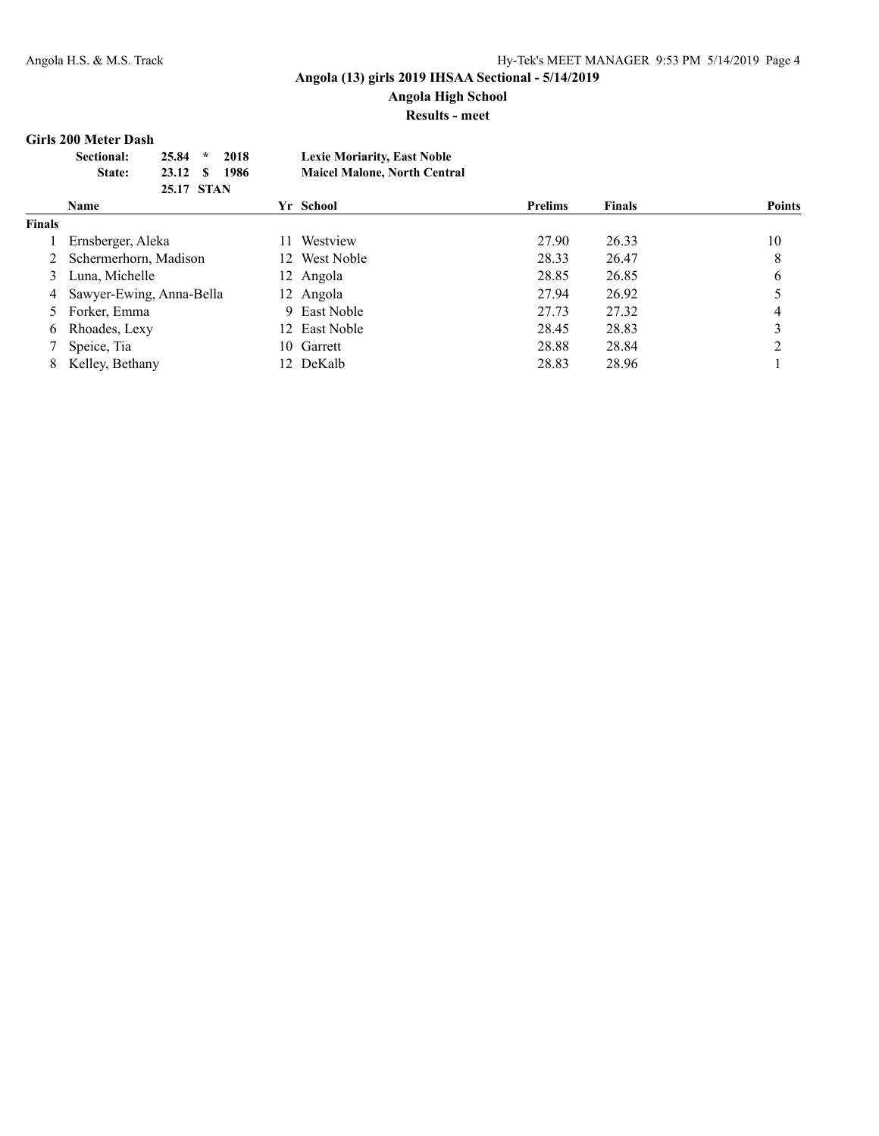# **Angola High School**

**Results - meet**

#### **Girls 200 Meter Dash**

| <b>Sectional:</b> | 25.84      | 2018<br>$\mathcal{R}$ | <b>Lexie Moriarity, East Noble</b>  |
|-------------------|------------|-----------------------|-------------------------------------|
| State:            | 23.12 S    | - 1986                | <b>Maicel Malone, North Central</b> |
|                   | 25.17 STAN |                       |                                     |

|               | <b>Name</b>                | Yr School       | <b>Prelims</b> | <b>Finals</b> | <b>Points</b> |
|---------------|----------------------------|-----------------|----------------|---------------|---------------|
| <b>Finals</b> |                            |                 |                |               |               |
|               | Ernsberger, Aleka          | Westview<br>11. | 27.90          | 26.33         | 10            |
|               | 2 Schermerhorn, Madison    | 12 West Noble   | 28.33          | 26.47         | 8             |
|               | 3 Luna, Michelle           | 12 Angola       | 28.85          | 26.85         | 6             |
|               | 4 Sawyer-Ewing, Anna-Bella | 12 Angola       | 27.94          | 26.92         |               |
|               | 5 Forker, Emma             | 9 East Noble    | 27.73          | 27.32         |               |
|               | 6 Rhoades, Lexy            | 12 East Noble   | 28.45          | 28.83         |               |
|               | Speice, Tia                | 10 Garrett      | 28.88          | 28.84         |               |
|               | 8 Kelley, Bethany          | 12 DeKalb       | 28.83          | 28.96         |               |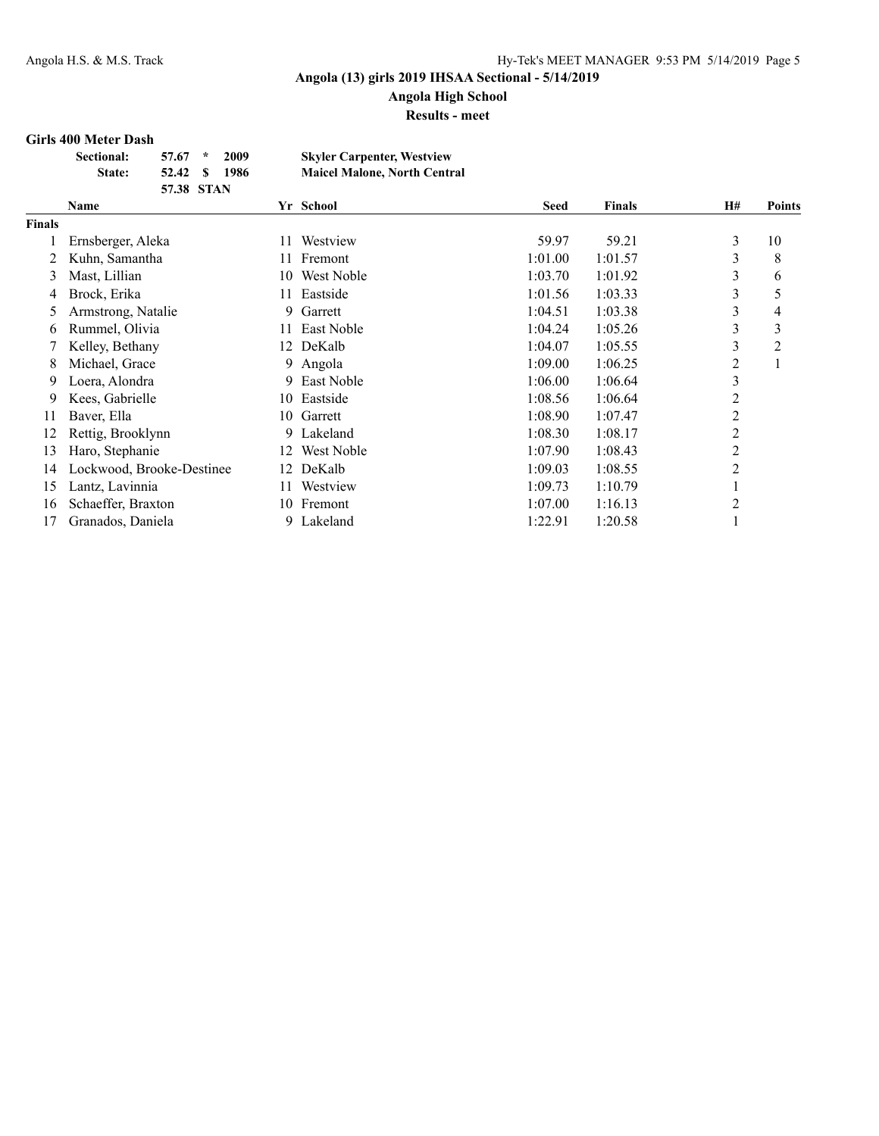## **Angola High School**

**Results - meet**

#### **Girls 400 Meter Dash**

| <b>Sectional:</b> | $57.67$ * |            | 2009  | <b>Skyler Carpenter, Westview</b>   |
|-------------------|-----------|------------|-------|-------------------------------------|
| <b>State:</b>     | 52.42 S   |            | -1986 | <b>Maicel Malone, North Central</b> |
|                   |           | 57.38 STAN |       |                                     |

|               | Name                      |     | Yr School  | <b>Seed</b> | <b>Finals</b> | <b>H#</b>      | Points        |
|---------------|---------------------------|-----|------------|-------------|---------------|----------------|---------------|
| <b>Finals</b> |                           |     |            |             |               |                |               |
|               | Ernsberger, Aleka         |     | Westview   | 59.97       | 59.21         | 3              | 10            |
|               | Kuhn, Samantha            |     | Fremont    | 1:01.00     | 1:01.57       | 3              | 8             |
| 3             | Mast, Lillian             | 10  | West Noble | 1:03.70     | 1:01.92       | 3              | 6             |
| 4             | Brock, Erika              |     | Eastside   | 1:01.56     | 1:03.33       | 3              | $\mathcal{D}$ |
| 5             | Armstrong, Natalie        | 9   | Garrett    | 1:04.51     | 1:03.38       | 3              | 4             |
| 6             | Rummel, Olivia            |     | East Noble | 1:04.24     | 1:05.26       | 3              | 3             |
|               | Kelley, Bethany           | 12  | DeKalb     | 1:04.07     | 1:05.55       | 3              | 2             |
| 8             | Michael, Grace            | 9   | Angola     | 1:09.00     | 1:06.25       | 2              |               |
| 9             | Loera, Alondra            | 9   | East Noble | 1:06.00     | 1:06.64       | 3              |               |
| 9             | Kees, Gabrielle           | 10  | Eastside   | 1:08.56     | 1:06.64       | 2              |               |
| 11            | Baver, Ella               | 10  | Garrett    | 1:08.90     | 1:07.47       | $\overline{c}$ |               |
| 12            | Rettig, Brooklynn         | 9.  | Lakeland   | 1:08.30     | 1:08.17       | 2              |               |
| 13            | Haro, Stephanie           | 12  | West Noble | 1:07.90     | 1:08.43       | 2              |               |
| 14            | Lockwood, Brooke-Destinee | 12  | DeKalb     | 1:09.03     | 1:08.55       | $\overline{2}$ |               |
| 15            | Lantz, Lavinnia           | 11. | Westview   | 1:09.73     | 1:10.79       |                |               |
| 16            | Schaeffer, Braxton        | 10  | Fremont    | 1:07.00     | 1:16.13       | $\overline{2}$ |               |
| 17            | Granados, Daniela         | 9.  | Lakeland   | 1:22.91     | 1:20.58       |                |               |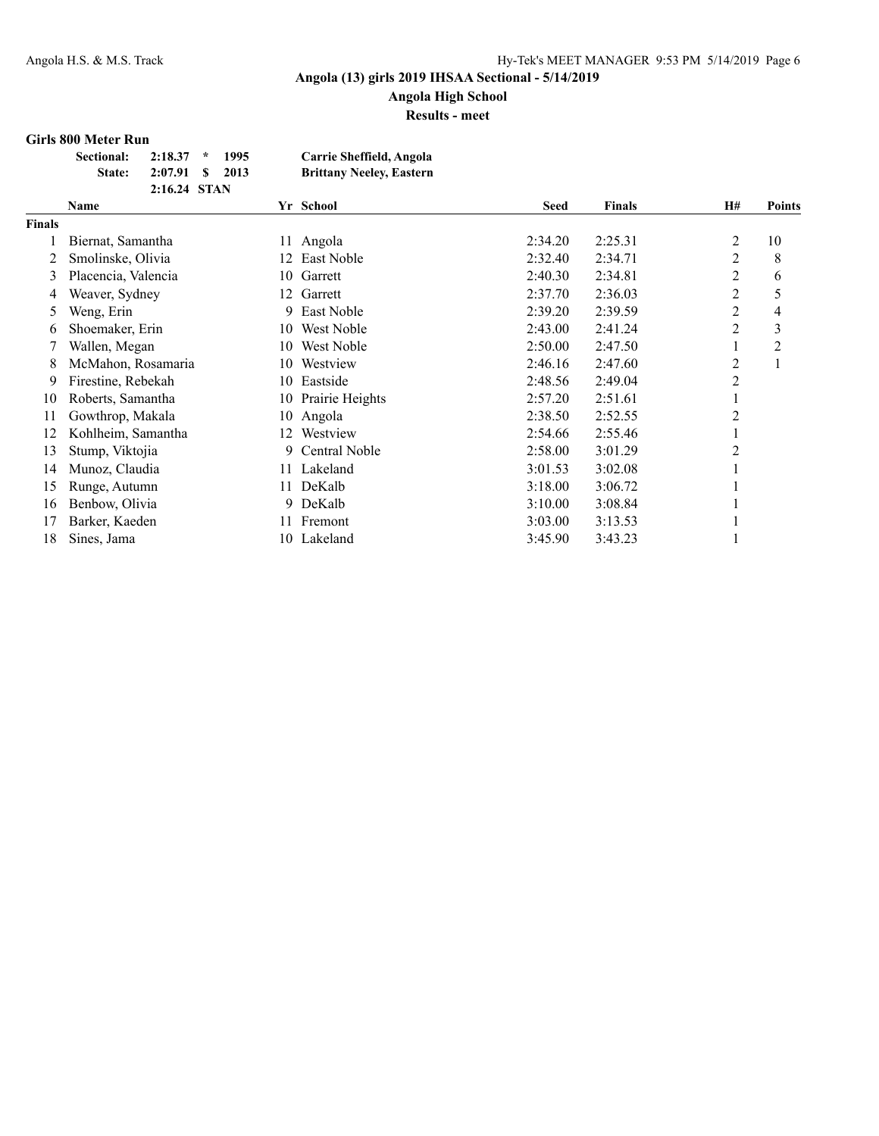**Angola High School Results - meet**

## **Girls 800 Meter Run**

| 119 000 1110001 10011 |                 |      |                                 |
|-----------------------|-----------------|------|---------------------------------|
| Sectional:            | $2:18.37$ *     | 1995 | Carrie Sheffield, Angola        |
| <b>State:</b>         | 2:07.91 \$ 2013 |      | <b>Brittany Neeley, Eastern</b> |
|                       | 2:16.24 STAN    |      |                                 |

|        | Name                |    | Yr School          | <b>Seed</b> | <b>Finals</b> | <b>H#</b>      | <b>Points</b>  |
|--------|---------------------|----|--------------------|-------------|---------------|----------------|----------------|
| Finals |                     |    |                    |             |               |                |                |
|        | Biernat, Samantha   | 11 | Angola             | 2:34.20     | 2:25.31       | 2              | 10             |
| 2      | Smolinske, Olivia   | 12 | East Noble         | 2:32.40     | 2:34.71       | 2              | 8              |
| 3      | Placencia, Valencia | 10 | Garrett            | 2:40.30     | 2:34.81       | 2              | 6              |
| 4      | Weaver, Sydney      | 12 | Garrett            | 2:37.70     | 2:36.03       | 2              | 5              |
| 5      | Weng, Erin          | 9. | East Noble         | 2:39.20     | 2:39.59       | 2              | 4              |
| 6      | Shoemaker, Erin     | 10 | West Noble         | 2:43.00     | 2:41.24       | 2              | 3              |
|        | Wallen, Megan       | 10 | West Noble         | 2:50.00     | 2:47.50       |                | $\overline{c}$ |
| 8      | McMahon, Rosamaria  | 10 | Westview           | 2:46.16     | 2:47.60       | 2              |                |
| 9      | Firestine, Rebekah  |    | 10 Eastside        | 2:48.56     | 2:49.04       | 2              |                |
| 10     | Roberts, Samantha   |    | 10 Prairie Heights | 2:57.20     | 2:51.61       |                |                |
| 11     | Gowthrop, Makala    |    | 10 Angola          | 2:38.50     | 2:52.55       | $\overline{2}$ |                |
| 12     | Kohlheim, Samantha  | 12 | Westview           | 2:54.66     | 2:55.46       |                |                |
| 13     | Stump, Viktojia     | 9. | Central Noble      | 2:58.00     | 3:01.29       | 2              |                |
| 14     | Munoz, Claudia      | 11 | Lakeland           | 3:01.53     | 3:02.08       |                |                |
| 15     | Runge, Autumn       | 11 | DeKalb             | 3:18.00     | 3:06.72       |                |                |
| 16     | Benbow, Olivia      | 9. | DeKalb             | 3:10.00     | 3:08.84       |                |                |
| 17     | Barker, Kaeden      | 11 | Fremont            | 3:03.00     | 3:13.53       |                |                |
| 18     | Sines, Jama         |    | 10 Lakeland        | 3:45.90     | 3:43.23       |                |                |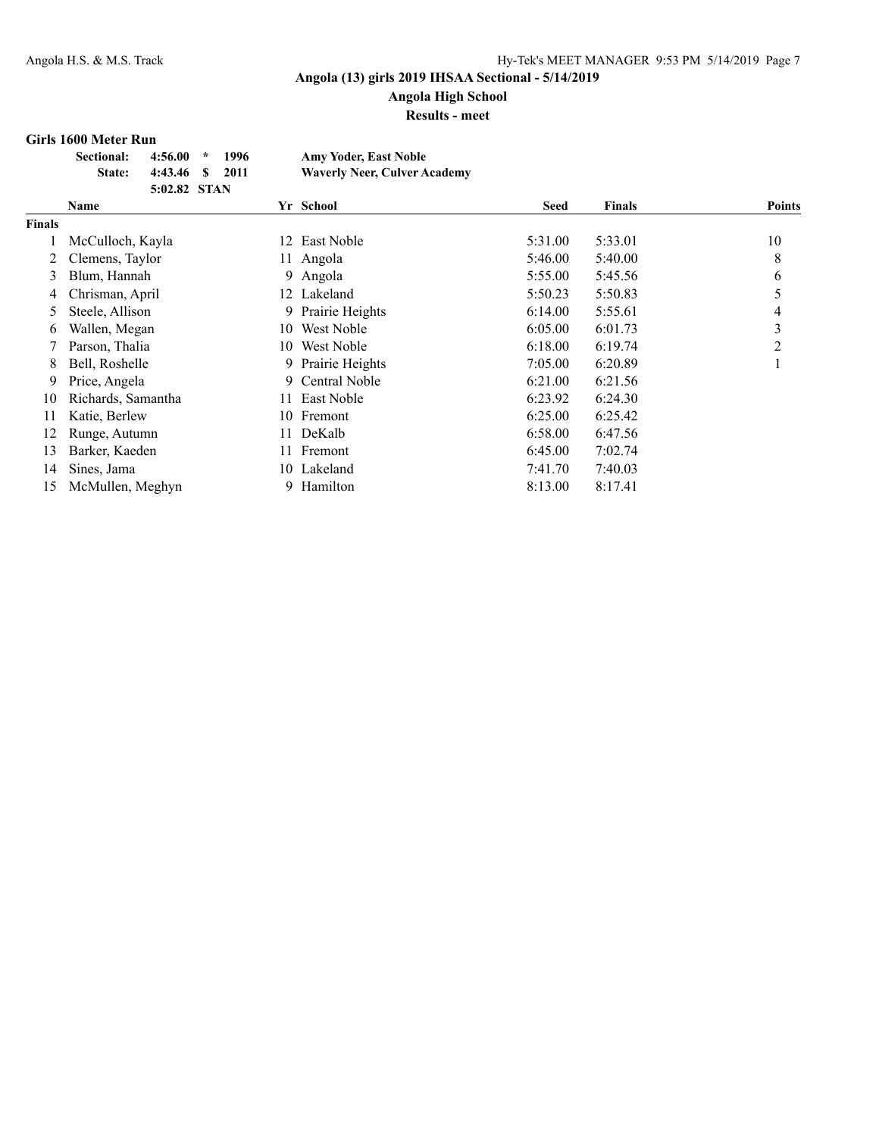### **Angola (13) girls 2019 IHSAA Sectional - 5/14/2019 Angola High School**

**Results - meet**

#### **Girls 1600 Meter Run**

| <b>Sectional:</b> | $4:56.00$ *     | 1996 | <b>Amy Yoder, East Noble</b>        |
|-------------------|-----------------|------|-------------------------------------|
| <b>State:</b>     | 4:43.46 \$ 2011 |      | <b>Waverly Neer, Culver Academy</b> |
|                   | 5:02.82 STAN    |      |                                     |

|               | Name               |     | Yr School         | <b>Seed</b> | <b>Finals</b> | <b>Points</b> |
|---------------|--------------------|-----|-------------------|-------------|---------------|---------------|
| <b>Finals</b> |                    |     |                   |             |               |               |
|               | McCulloch, Kayla   | 12  | East Noble        | 5:31.00     | 5:33.01       | 10            |
|               | Clemens, Taylor    | 11  | Angola            | 5:46.00     | 5:40.00       | 8             |
| 3             | Blum, Hannah       | 9   | Angola            | 5:55.00     | 5:45.56       | 6             |
| 4             | Chrisman, April    |     | 12 Lakeland       | 5:50.23     | 5:50.83       |               |
| 5             | Steele, Allison    |     | 9 Prairie Heights | 6:14.00     | 5:55.61       | 4             |
| 6             | Wallen, Megan      | 10  | West Noble        | 6:05.00     | 6:01.73       | 3             |
|               | Parson, Thalia     | 10  | West Noble        | 6:18.00     | 6:19.74       | 2             |
| 8             | Bell, Roshelle     |     | 9 Prairie Heights | 7:05.00     | 6:20.89       |               |
| 9.            | Price, Angela      |     | 9 Central Noble   | 6:21.00     | 6:21.56       |               |
| 10            | Richards, Samantha |     | 11 East Noble     | 6:23.92     | 6:24.30       |               |
| 11            | Katie, Berlew      | 10  | Fremont           | 6:25.00     | 6:25.42       |               |
| 12            | Runge, Autumn      | 11  | DeKalb            | 6:58.00     | 6:47.56       |               |
| 13            | Barker, Kaeden     | 11. | Fremont           | 6:45.00     | 7:02.74       |               |
| 14            | Sines, Jama        |     | 10 Lakeland       | 7:41.70     | 7:40.03       |               |
| 15            | McMullen, Meghyn   |     | 9 Hamilton        | 8:13.00     | 8:17.41       |               |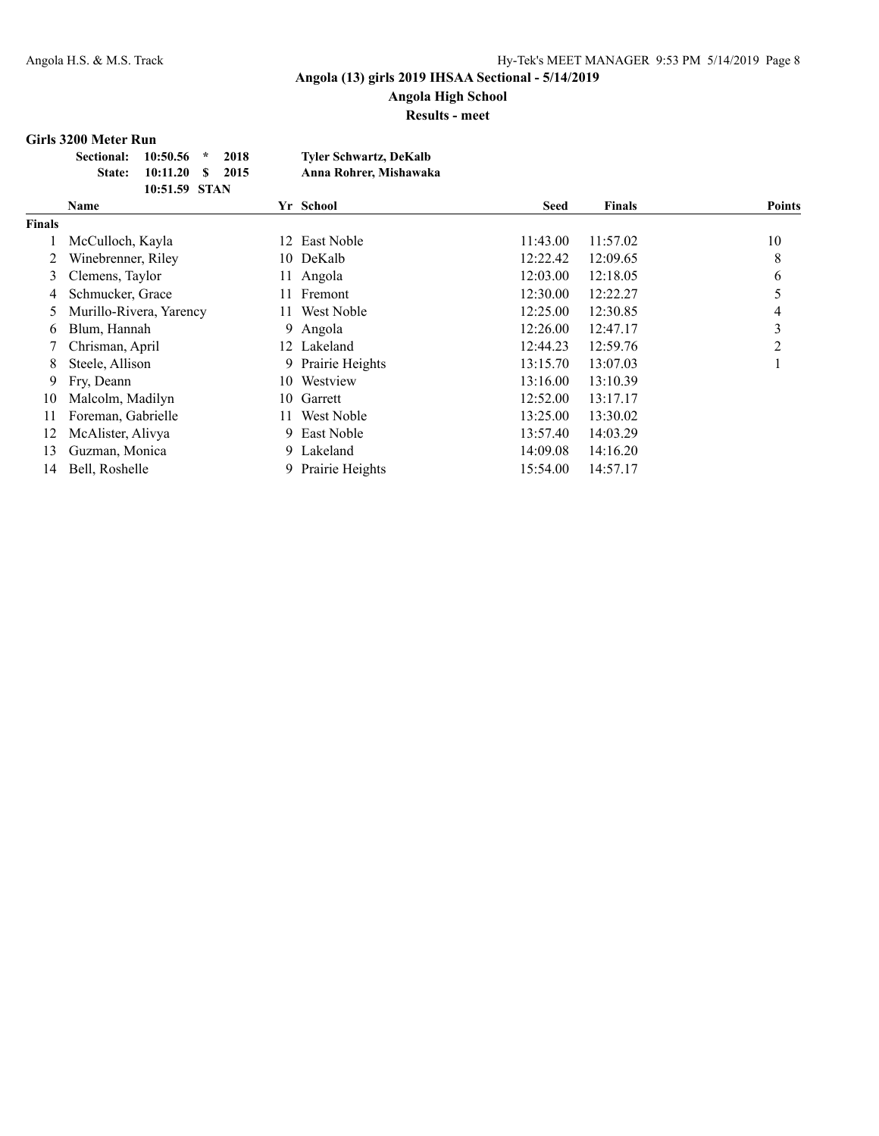**Angola High School Results - meet**

#### **Girls 3200 Meter Run**

| Sectional: 10:50.56 * |                         | 2018 | <b>Tyler Schwartz, DeKalb</b> |
|-----------------------|-------------------------|------|-------------------------------|
|                       | State: 10:11.20 \$ 2015 |      | Anna Rohrer, Mishawaka        |
|                       | 10:51.59 STAN           |      |                               |

|        | Name                    |      | Yr School         | Seed     | <b>Finals</b> | <b>Points</b>  |
|--------|-------------------------|------|-------------------|----------|---------------|----------------|
| Finals |                         |      |                   |          |               |                |
|        | McCulloch, Kayla        | 12   | East Noble        | 11:43.00 | 11:57.02      | 10             |
|        | Winebrenner, Riley      |      | 10 DeKalb         | 12:22.42 | 12:09.65      | 8              |
| 3      | Clemens, Taylor         |      | 11 Angola         | 12:03.00 | 12:18.05      | 6              |
| 4      | Schmucker, Grace        | 11.  | Fremont           | 12:30.00 | 12:22.27      |                |
| 5      | Murillo-Rivera, Yarency | 11 - | West Noble        | 12:25.00 | 12:30.85      | 4              |
| 6      | Blum, Hannah            |      | 9 Angola          | 12:26.00 | 12:47.17      | 3              |
|        | Chrisman, April         |      | 12 Lakeland       | 12:44.23 | 12:59.76      | $\mathfrak{D}$ |
| 8      | Steele, Allison         |      | 9 Prairie Heights | 13:15.70 | 13:07.03      |                |
| 9      | Fry, Deann              |      | 10 Westview       | 13:16.00 | 13:10.39      |                |
| 10     | Malcolm, Madilyn        | 10.  | Garrett           | 12:52.00 | 13:17.17      |                |
| 11     | Foreman, Gabrielle      | 11-  | West Noble        | 13:25.00 | 13:30.02      |                |
| 12     | McAlister, Alivya       |      | 9 East Noble      | 13:57.40 | 14:03.29      |                |
| 13     | Guzman, Monica          |      | 9 Lakeland        | 14:09.08 | 14:16.20      |                |
| 14     | Bell, Roshelle          |      | 9 Prairie Heights | 15:54.00 | 14:57.17      |                |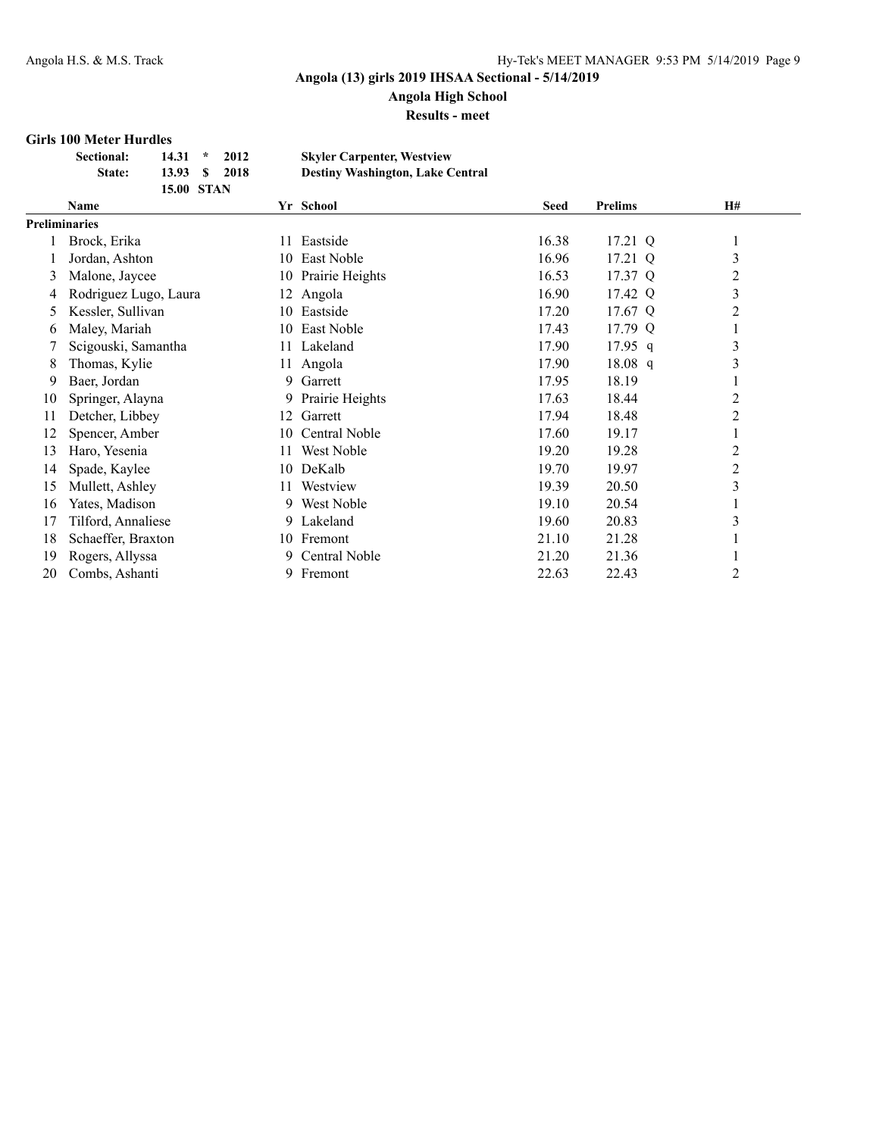**Angola High School**

**Results - meet**

#### **Girls 100 Meter Hurdles**

| <b>Sectional:</b> | $14.31 *$         | 2012 | <b>Skyler Carpenter, Westview</b>       |
|-------------------|-------------------|------|-----------------------------------------|
| <b>State:</b>     | 13.93 S           | 2018 | <b>Destiny Washington, Lake Central</b> |
|                   | <b>15.00 STAN</b> |      |                                         |

|                      | Name                  |     | Yr School       | <b>Seed</b> | <b>Prelims</b> | <b>H#</b>      |
|----------------------|-----------------------|-----|-----------------|-------------|----------------|----------------|
| <b>Preliminaries</b> |                       |     |                 |             |                |                |
|                      | Brock, Erika          | 11  | Eastside        | 16.38       | 17.21 Q        | $\mathbf{I}$   |
|                      | Jordan, Ashton        | 10  | East Noble      | 16.96       | 17.21 Q        | 3              |
| 3                    | Malone, Jaycee        | 10  | Prairie Heights | 16.53       | 17.37 Q        | 2              |
| 4                    | Rodriguez Lugo, Laura | 12  | Angola          | 16.90       | 17.42 Q        | $\mathfrak{Z}$ |
| 5                    | Kessler, Sullivan     | 10. | Eastside        | 17.20       | 17.67 Q        | 2              |
| 6                    | Maley, Mariah         | 10  | East Noble      | 17.43       | 17.79 Q        |                |
|                      | Scigouski, Samantha   | 11  | Lakeland        | 17.90       | $17.95$ q      | 3              |
| 8                    | Thomas, Kylie         | 11  | Angola          | 17.90       | 18.08 q        | 3              |
| 9                    | Baer, Jordan          | 9.  | Garrett         | 17.95       | 18.19          |                |
| 10                   | Springer, Alayna      | 9.  | Prairie Heights | 17.63       | 18.44          | 2              |
| 11                   | Detcher, Libbey       | 12  | Garrett         | 17.94       | 18.48          | $\overline{2}$ |
| 12                   | Spencer, Amber        | 10  | Central Noble   | 17.60       | 19.17          | $\bf{l}$       |
| 13                   | Haro, Yesenia         | 11  | West Noble      | 19.20       | 19.28          | 2              |
| 14                   | Spade, Kaylee         | 10  | DeKalb          | 19.70       | 19.97          | $\overline{2}$ |
| 15                   | Mullett, Ashley       | 11  | Westview        | 19.39       | 20.50          | 3              |
| 16                   | Yates, Madison        | 9.  | West Noble      | 19.10       | 20.54          |                |
| 17                   | Tilford, Annaliese    | 9.  | Lakeland        | 19.60       | 20.83          | 3              |
| 18                   | Schaeffer, Braxton    |     | 10 Fremont      | 21.10       | 21.28          |                |
| 19                   | Rogers, Allyssa       | 9.  | Central Noble   | 21.20       | 21.36          |                |
| 20                   | Combs, Ashanti        | 9.  | Fremont         | 22.63       | 22.43          | $\overline{c}$ |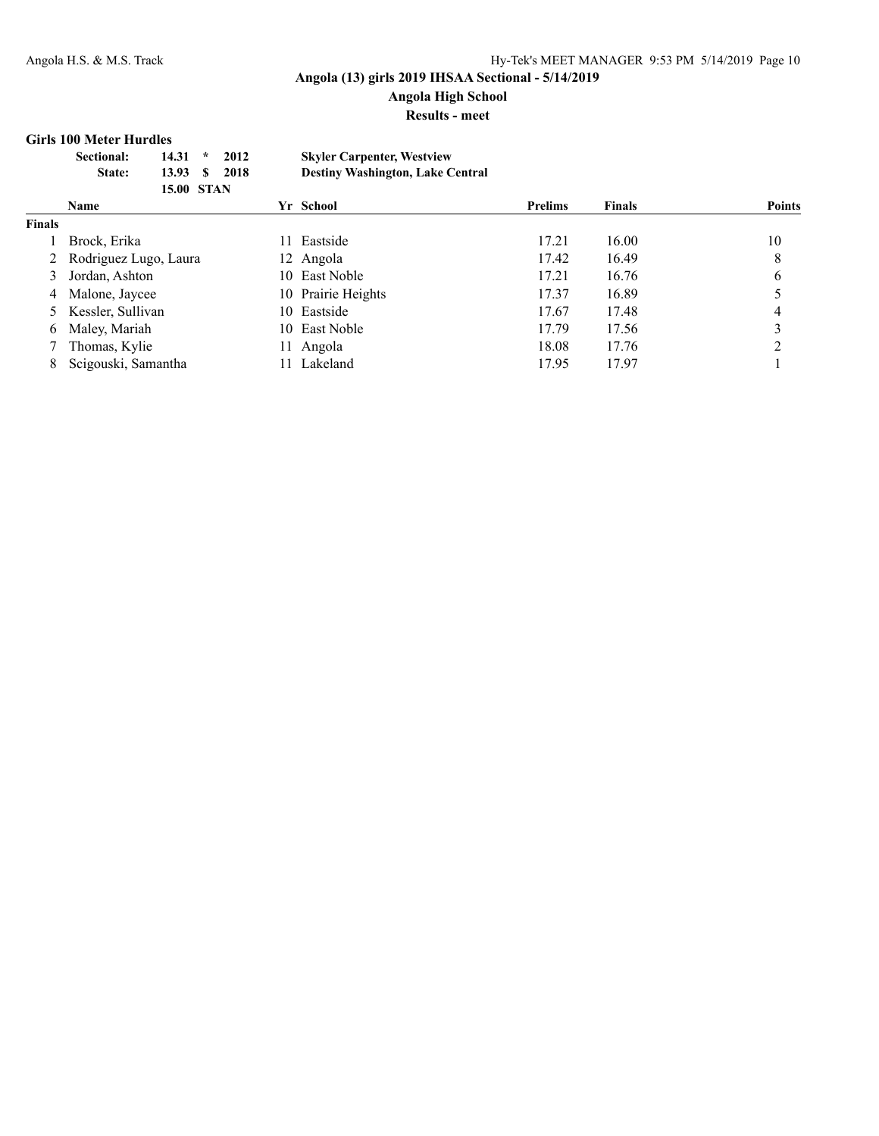**Angola High School**

#### **Results - meet**

#### **Girls 100 Meter Hurdles**

| Sectional:    | 2012<br>$14.31 *$ | <b>Skyler Carpenter, Westview</b>       |
|---------------|-------------------|-----------------------------------------|
| <b>State:</b> | 2018<br>13.93 S   | <b>Destiny Washington, Lake Central</b> |
|               | <b>15.00 STAN</b> |                                         |

|               | Name                    | Yr School          | <b>Prelims</b> | Finals | <b>Points</b> |
|---------------|-------------------------|--------------------|----------------|--------|---------------|
| <b>Finals</b> |                         |                    |                |        |               |
|               | Brock, Erika            | Eastside<br>11     | 17.21          | 16.00  | 10            |
|               | 2 Rodriguez Lugo, Laura | 12 Angola          | 17.42          | 16.49  | 8             |
| 3             | Jordan, Ashton          | East Noble<br>10.  | 17.21          | 16.76  | 6             |
|               | 4 Malone, Jaycee        | 10 Prairie Heights | 17.37          | 16.89  |               |
|               | 5 Kessler, Sullivan     | Eastside<br>10-    | 17.67          | 17.48  | 4             |
| 6             | Maley, Mariah           | East Noble<br>10.  | 17.79          | 17.56  |               |
|               | Thomas, Kylie           | Angola<br>11       | 18.08          | 17.76  |               |
|               | Scigouski, Samantha     | Lakeland           | 17.95          | 17.97  |               |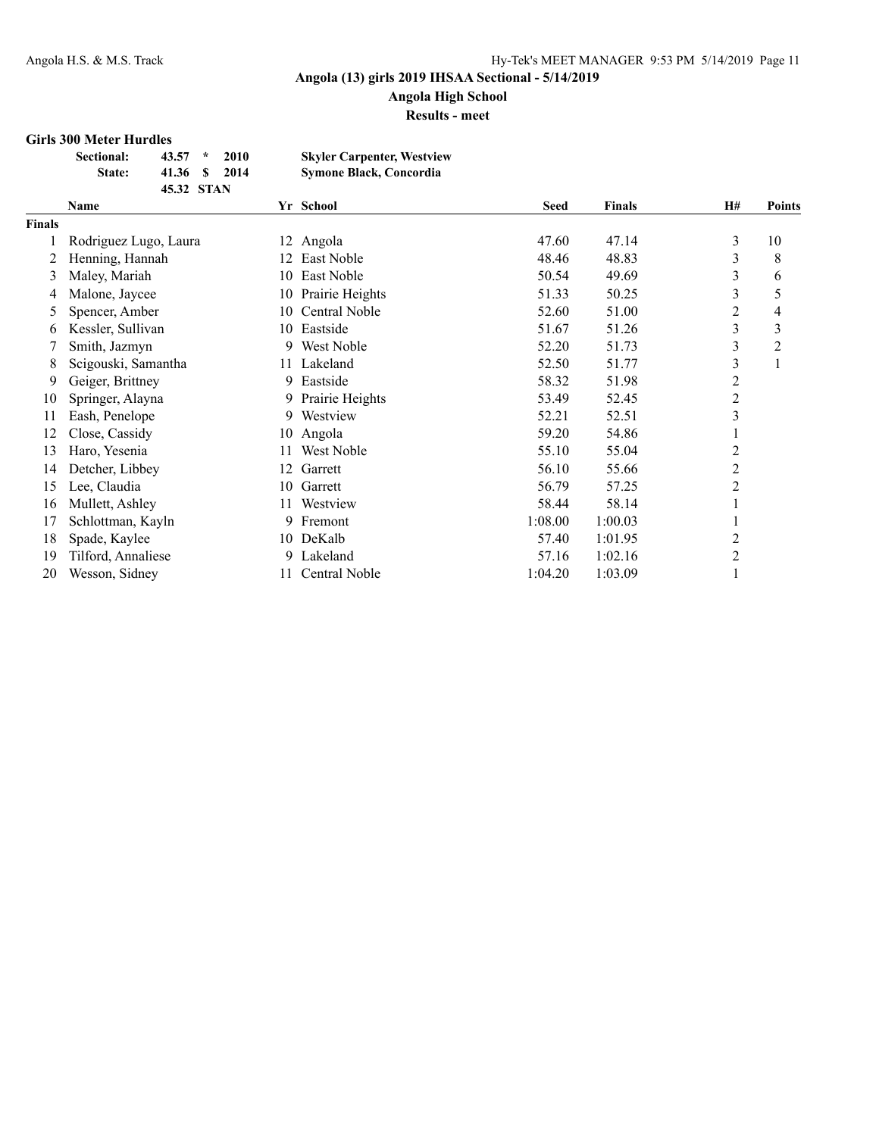**Angola High School Results - meet**

#### **Girls 300 Meter Hurdles**

| <b>Sectional:</b> | 43.57      | $\star$ | 2010 | <b>Skyler Carpenter, Westview</b> |
|-------------------|------------|---------|------|-----------------------------------|
| <b>State:</b>     | 41.36 S    |         | 2014 | <b>Symone Black, Concordia</b>    |
|                   | 45.32 STAN |         |      |                                   |

|        | Name                  |     | Yr School       | <b>Seed</b> | <b>Finals</b> | <b>H#</b>      | <b>Points</b>  |
|--------|-----------------------|-----|-----------------|-------------|---------------|----------------|----------------|
| Finals |                       |     |                 |             |               |                |                |
|        | Rodriguez Lugo, Laura | 12  | Angola          | 47.60       | 47.14         | 3              | 10             |
|        | Henning, Hannah       | 12. | East Noble      | 48.46       | 48.83         | 3              | 8              |
| 3      | Maley, Mariah         | 10  | East Noble      | 50.54       | 49.69         | 3              | 6              |
| 4      | Malone, Jaycee        | 10  | Prairie Heights | 51.33       | 50.25         | 3              | 5              |
| 5      | Spencer, Amber        | 10  | Central Noble   | 52.60       | 51.00         | $\overline{2}$ | 4              |
| 6      | Kessler, Sullivan     | 10. | Eastside        | 51.67       | 51.26         | 3              | 3              |
|        | Smith, Jazmyn         | 9.  | West Noble      | 52.20       | 51.73         | 3              | $\overline{2}$ |
| 8      | Scigouski, Samantha   | 11  | Lakeland        | 52.50       | 51.77         | 3              | 1              |
| 9      | Geiger, Brittney      | 9.  | Eastside        | 58.32       | 51.98         | $\overline{2}$ |                |
| 10     | Springer, Alayna      | 9.  | Prairie Heights | 53.49       | 52.45         | $\overline{2}$ |                |
| 11     | Eash, Penelope        | 9.  | Westview        | 52.21       | 52.51         | 3              |                |
| 12     | Close, Cassidy        | 10  | Angola          | 59.20       | 54.86         |                |                |
| 13     | Haro, Yesenia         | 11  | West Noble      | 55.10       | 55.04         | 2              |                |
| 14     | Detcher, Libbey       | 12  | Garrett         | 56.10       | 55.66         | $\overline{c}$ |                |
| 15     | Lee, Claudia          | 10  | Garrett         | 56.79       | 57.25         | $\overline{2}$ |                |
| 16     | Mullett, Ashley       | 11  | Westview        | 58.44       | 58.14         |                |                |
| 17     | Schlottman, Kayln     | 9.  | Fremont         | 1:08.00     | 1:00.03       |                |                |
| 18     | Spade, Kaylee         | 10  | DeKalb          | 57.40       | 1:01.95       | 2              |                |
| 19     | Tilford, Annaliese    | 9.  | Lakeland        | 57.16       | 1:02.16       | $\overline{2}$ |                |
| 20     | Wesson, Sidney        | 11  | Central Noble   | 1:04.20     | 1:03.09       |                |                |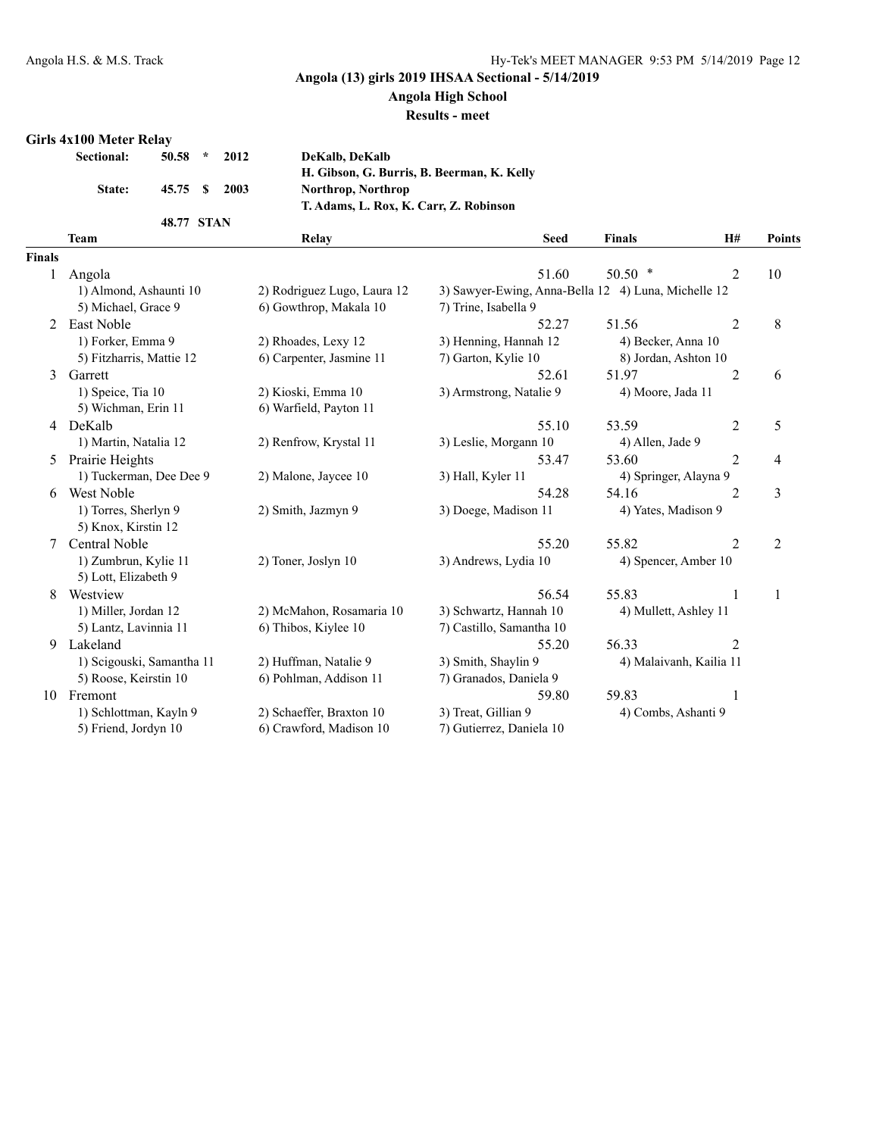## **Angola High School**

#### **Results - meet**

#### **Girls 4x100 Meter Relay**

| <b>Sectional:</b> | $50.58 * 2012$ |  |
|-------------------|----------------|--|
| State:            | 45.75 \$ 2003  |  |
|                   | 48.77 STAN     |  |

**Sectional: 50.58 \* 2012 DeKalb, DeKalb H. Gibson, G. Burris, B. Beerman, K. Kelly State: 45.75 \$ 2003 Northrop, Northrop T. Adams, L. Rox, K. Carr, Z. Robinson**

|               | <b>Team</b>               | Relay                       | <b>Seed</b>                                         | <b>Finals</b>                              | H#             | Points |
|---------------|---------------------------|-----------------------------|-----------------------------------------------------|--------------------------------------------|----------------|--------|
| <b>Finals</b> |                           |                             |                                                     |                                            |                |        |
| 1             | Angola                    |                             | 51.60                                               | $50.50*$                                   | $\overline{2}$ | 10     |
|               | 1) Almond, Ashaunti 10    | 2) Rodriguez Lugo, Laura 12 | 3) Sawyer-Ewing, Anna-Bella 12 4) Luna, Michelle 12 |                                            |                |        |
|               | 5) Michael, Grace 9       | 6) Gowthrop, Makala 10      | 7) Trine, Isabella 9                                |                                            |                |        |
| 2             | <b>East Noble</b>         |                             | 52.27                                               | 51.56                                      | $\overline{2}$ | 8      |
|               | 1) Forker, Emma 9         |                             |                                                     |                                            |                |        |
|               |                           | 2) Rhoades, Lexy 12         | 3) Henning, Hannah 12                               | 4) Becker, Anna 10<br>8) Jordan, Ashton 10 |                |        |
|               | 5) Fitzharris, Mattie 12  | 6) Carpenter, Jasmine 11    | 7) Garton, Kylie 10                                 |                                            |                |        |
| 3             | Garrett                   |                             | 52.61                                               | 51.97                                      | $\overline{c}$ | 6      |
|               | 1) Speice, Tia 10         | 2) Kioski, Emma 10          | 3) Armstrong, Natalie 9                             | 4) Moore, Jada 11                          |                |        |
|               | 5) Wichman, Erin 11       | 6) Warfield, Payton 11      |                                                     |                                            |                |        |
| 4             | DeKalb                    |                             | 55.10                                               | 53.59                                      | $\overline{2}$ | 5      |
|               | 1) Martin, Natalia 12     | 2) Renfrow, Krystal 11      | 3) Leslie, Morgann 10                               | 4) Allen, Jade 9                           |                |        |
| 5             | Prairie Heights           |                             | 53.47                                               | 53.60                                      | 2              | 4      |
|               | 1) Tuckerman, Dee Dee 9   | 2) Malone, Jaycee 10        | 3) Hall, Kyler 11                                   | 4) Springer, Alayna 9                      |                |        |
| 6             | <b>West Noble</b>         |                             | 54.28                                               | 54.16                                      | 2              | 3      |
|               | 1) Torres, Sherlyn 9      | 2) Smith, Jazmyn 9          | 3) Doege, Madison 11                                | 4) Yates, Madison 9                        |                |        |
|               | 5) Knox, Kirstin 12       |                             |                                                     |                                            |                |        |
| 7             | Central Noble             |                             | 55.20                                               | 55.82                                      | $\overline{2}$ | 2      |
|               | 1) Zumbrun, Kylie 11      | 2) Toner, Joslyn 10         | 3) Andrews, Lydia 10                                | 4) Spencer, Amber 10                       |                |        |
|               | 5) Lott, Elizabeth 9      |                             |                                                     |                                            |                |        |
| 8             | Westview                  |                             | 56.54                                               | 55.83                                      | 1              | 1      |
|               | 1) Miller, Jordan 12      | 2) McMahon, Rosamaria 10    | 3) Schwartz, Hannah 10                              | 4) Mullett, Ashley 11                      |                |        |
|               | 5) Lantz, Lavinnia 11     | 6) Thibos, Kiylee 10        | 7) Castillo, Samantha 10                            |                                            |                |        |
| 9             | Lakeland                  |                             | 55.20                                               | 56.33                                      | $\overline{2}$ |        |
|               | 1) Scigouski, Samantha 11 | 2) Huffman, Natalie 9       | 3) Smith, Shaylin 9                                 | 4) Malaivanh, Kailia 11                    |                |        |
|               | 5) Roose, Keirstin 10     | 6) Pohlman, Addison 11      | 7) Granados, Daniela 9                              |                                            |                |        |
| 10            | Fremont                   |                             | 59.80                                               | 59.83                                      |                |        |
|               | 1) Schlottman, Kayln 9    | 2) Schaeffer, Braxton 10    | 3) Treat, Gillian 9                                 | 4) Combs, Ashanti 9                        |                |        |
|               | 5) Friend, Jordyn 10      | 6) Crawford, Madison 10     | 7) Gutierrez, Daniela 10                            |                                            |                |        |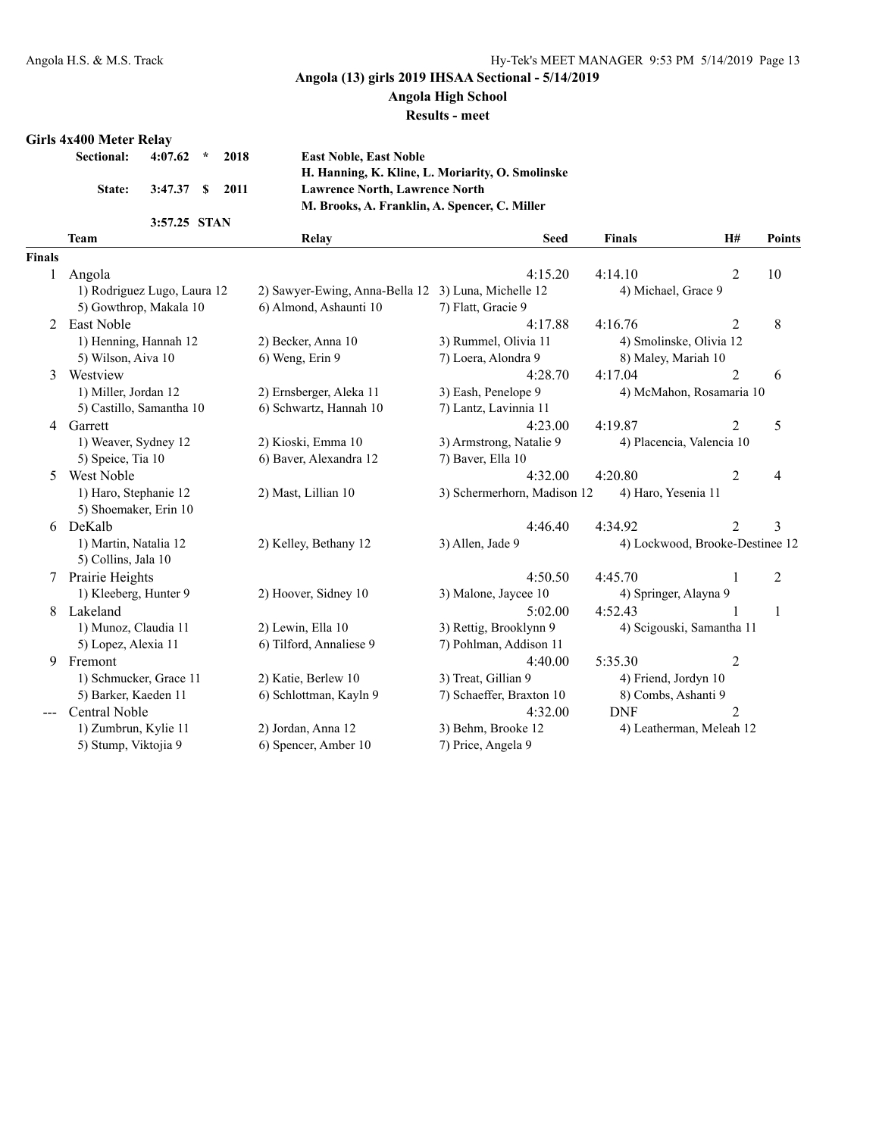### **Angola High School**

#### **Results - meet**

#### **Girls 4x400 Meter Relay**

| Sectional: 4:07.62 * 2018 |                        |  |  |
|---------------------------|------------------------|--|--|
|                           | State: 3:47.37 \$ 2011 |  |  |
|                           | .                      |  |  |

**Sectional: 4:07.62 \* 2018 East Noble, East Noble H. Hanning, K. Kline, L. Moriarity, O. Smolinske State: 3:47.37 \$ 2011 Lawrence North, Lawrence North M. Brooks, A. Franklin, A. Spencer, C. Miller**

| 3:57.25 | <b>STAN</b> |  |
|---------|-------------|--|
|         |             |  |

|               | <b>Team</b>                 | Relay                          | <b>Seed</b>                 | <b>Finals</b>                   | H#             | Points         |
|---------------|-----------------------------|--------------------------------|-----------------------------|---------------------------------|----------------|----------------|
| <b>Finals</b> |                             |                                |                             |                                 |                |                |
| 1             | Angola                      |                                | 4:15.20                     | 4:14.10                         | $\overline{2}$ | 10             |
|               | 1) Rodriguez Lugo, Laura 12 | 2) Sawyer-Ewing, Anna-Bella 12 | 3) Luna, Michelle 12        | 4) Michael, Grace 9             |                |                |
|               | 5) Gowthrop, Makala 10      | 6) Almond, Ashaunti 10         | 7) Flatt, Gracie 9          |                                 |                |                |
| 2             | East Noble                  |                                | 4:17.88                     | 4.1676                          | $\overline{2}$ | 8              |
|               | 1) Henning, Hannah 12       | 2) Becker, Anna 10             | 3) Rummel, Olivia 11        | 4) Smolinske, Olivia 12         |                |                |
|               | 5) Wilson, Aiva 10          | 6) Weng, Erin 9                | 7) Loera, Alondra 9         | 8) Maley, Mariah 10             |                |                |
| 3             | Westview                    |                                | 4:28.70                     | 4:17.04                         | $\overline{2}$ | 6              |
|               | 1) Miller, Jordan 12        | 2) Ernsberger, Aleka 11        | 3) Eash, Penelope 9         | 4) McMahon, Rosamaria 10        |                |                |
|               | 5) Castillo, Samantha 10    | 6) Schwartz, Hannah 10         | 7) Lantz, Lavinnia 11       |                                 |                |                |
| 4             | Garrett                     |                                | 4:23.00                     | 4:19.87                         | $\overline{2}$ | 5              |
|               | 1) Weaver, Sydney 12        | 2) Kioski, Emma 10             | 3) Armstrong, Natalie 9     | 4) Placencia, Valencia 10       |                |                |
|               | 5) Speice, Tia 10           | 6) Baver, Alexandra 12         | 7) Baver, Ella 10           |                                 |                |                |
| 5.            | West Noble                  |                                | 4:32.00                     | 4:20.80                         | $\overline{2}$ | 4              |
|               | 1) Haro, Stephanie 12       | 2) Mast, Lillian 10            | 3) Schermerhorn, Madison 12 | 4) Haro, Yesenia 11             |                |                |
|               | 5) Shoemaker, Erin 10       |                                |                             |                                 |                |                |
|               | 6 DeKalb                    |                                | 4:46.40                     | 4:34.92                         | $\overline{2}$ | 3              |
|               | 1) Martin, Natalia 12       | 2) Kelley, Bethany 12          | 3) Allen, Jade 9            | 4) Lockwood, Brooke-Destinee 12 |                |                |
|               | 5) Collins, Jala 10         |                                |                             |                                 |                |                |
| 7             | Prairie Heights             |                                | 4:50.50                     | 4:45.70                         |                | $\overline{2}$ |
|               | 1) Kleeberg, Hunter 9       | 2) Hoover, Sidney 10           | 3) Malone, Jaycee 10        | 4) Springer, Alayna 9           |                |                |
| 8             | Lakeland                    |                                | 5:02.00                     | 4:52.43                         |                | 1              |
|               | 1) Munoz, Claudia 11        | 2) Lewin, Ella 10              | 3) Rettig, Brooklynn 9      | 4) Scigouski, Samantha 11       |                |                |
|               | 5) Lopez, Alexia 11         | 6) Tilford, Annaliese 9        | 7) Pohlman, Addison 11      |                                 |                |                |
| 9             | Fremont                     |                                | 4:40.00                     | 5:35.30                         | $\overline{2}$ |                |
|               | 1) Schmucker, Grace 11      | 2) Katie, Berlew 10            | 3) Treat, Gillian 9         | 4) Friend, Jordyn 10            |                |                |
|               | 5) Barker, Kaeden 11        | 6) Schlottman, Kayln 9         | 7) Schaeffer, Braxton 10    | 8) Combs, Ashanti 9             |                |                |
|               | Central Noble               |                                | 4:32.00                     | <b>DNF</b>                      | $\overline{2}$ |                |
|               | 1) Zumbrun, Kylie 11        | 2) Jordan, Anna 12             | 3) Behm, Brooke 12          | 4) Leatherman, Meleah 12        |                |                |
|               | 5) Stump, Viktojia 9        | 6) Spencer, Amber 10           | 7) Price, Angela 9          |                                 |                |                |
|               |                             |                                |                             |                                 |                |                |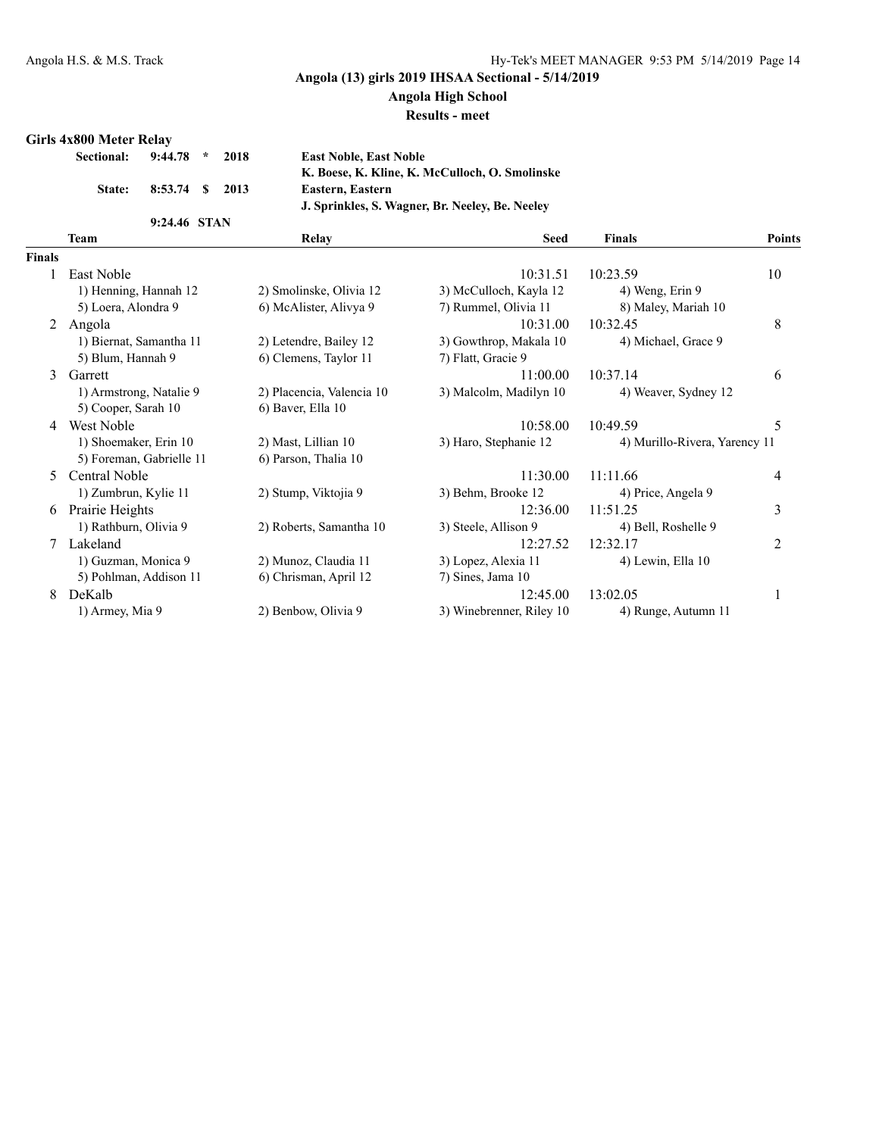### **Angola High School**

#### **Results - meet**

### **Girls 4x800 Meter Relay**

| <b>Sectional:</b> | $9:44.78$ *<br>2018 | <b>East Noble, East Noble</b>                   |
|-------------------|---------------------|-------------------------------------------------|
|                   |                     | K. Boese, K. Kline, K. McCulloch, O. Smolinske  |
| State:            | 8:53.74 \$ 2013     | Eastern, Eastern                                |
|                   |                     | J. Sprinkles, S. Wagner, Br. Neelev, Be. Neelev |
|                   | 9:24.46 STAN        |                                                 |

|               | <b>Team</b>              | Relay                     | <b>Seed</b>              | <b>Finals</b>                 | Points |
|---------------|--------------------------|---------------------------|--------------------------|-------------------------------|--------|
| <b>Finals</b> |                          |                           |                          |                               |        |
|               | East Noble               |                           | 10:31.51                 | 10:23.59                      | 10     |
|               | 1) Henning, Hannah 12    | 2) Smolinske, Olivia 12   | 3) McCulloch, Kayla 12   | 4) Weng, Erin 9               |        |
|               | 5) Loera, Alondra 9      | 6) McAlister, Alivya 9    | 7) Rummel, Olivia 11     | 8) Maley, Mariah 10           |        |
| 2             | Angola                   |                           | 10:31.00                 | 10:32.45                      | 8      |
|               | 1) Biernat, Samantha 11  | 2) Letendre, Bailey 12    | 3) Gowthrop, Makala 10   | 4) Michael, Grace 9           |        |
|               | 5) Blum, Hannah 9        | 6) Clemens, Taylor 11     | 7) Flatt, Gracie 9       |                               |        |
| 3             | Garrett                  |                           | 11:00.00                 | 10:37.14                      | 6      |
|               | 1) Armstrong, Natalie 9  | 2) Placencia, Valencia 10 | 3) Malcolm, Madilyn 10   | 4) Weaver, Sydney 12          |        |
|               | 5) Cooper, Sarah 10      | 6) Baver, Ella 10         |                          |                               |        |
| 4             | West Noble               |                           | 10:58.00                 | 10:49.59                      | 5      |
|               | 1) Shoemaker, Erin 10    | 2) Mast, Lillian 10       | 3) Haro, Stephanie 12    | 4) Murillo-Rivera, Yarency 11 |        |
|               | 5) Foreman, Gabrielle 11 | 6) Parson, Thalia 10      |                          |                               |        |
| 5.            | Central Noble            |                           | 11:30.00                 | 11:11.66                      | 4      |
|               | 1) Zumbrun, Kylie 11     | 2) Stump, Viktojia 9      | 3) Behm, Brooke 12       | 4) Price, Angela 9            |        |
| 6             | Prairie Heights          |                           | 12:36.00                 | 11:51.25                      | 3      |
|               | 1) Rathburn, Olivia 9    | 2) Roberts, Samantha 10   | 3) Steele, Allison 9     | 4) Bell, Roshelle 9           |        |
|               | Lakeland                 |                           | 12:27.52                 | 12:32.17                      | 2      |
|               | 1) Guzman, Monica 9      | 2) Munoz, Claudia 11      | 3) Lopez, Alexia 11      | 4) Lewin, Ella 10             |        |
|               | 5) Pohlman, Addison 11   | 6) Chrisman, April 12     | 7) Sines, Jama 10        |                               |        |
| 8             | DeKalb                   |                           | 12:45.00                 | 13:02.05                      |        |
|               | 1) Armey, Mia 9          | 2) Benbow, Olivia 9       | 3) Winebrenner, Riley 10 | 4) Runge, Autumn 11           |        |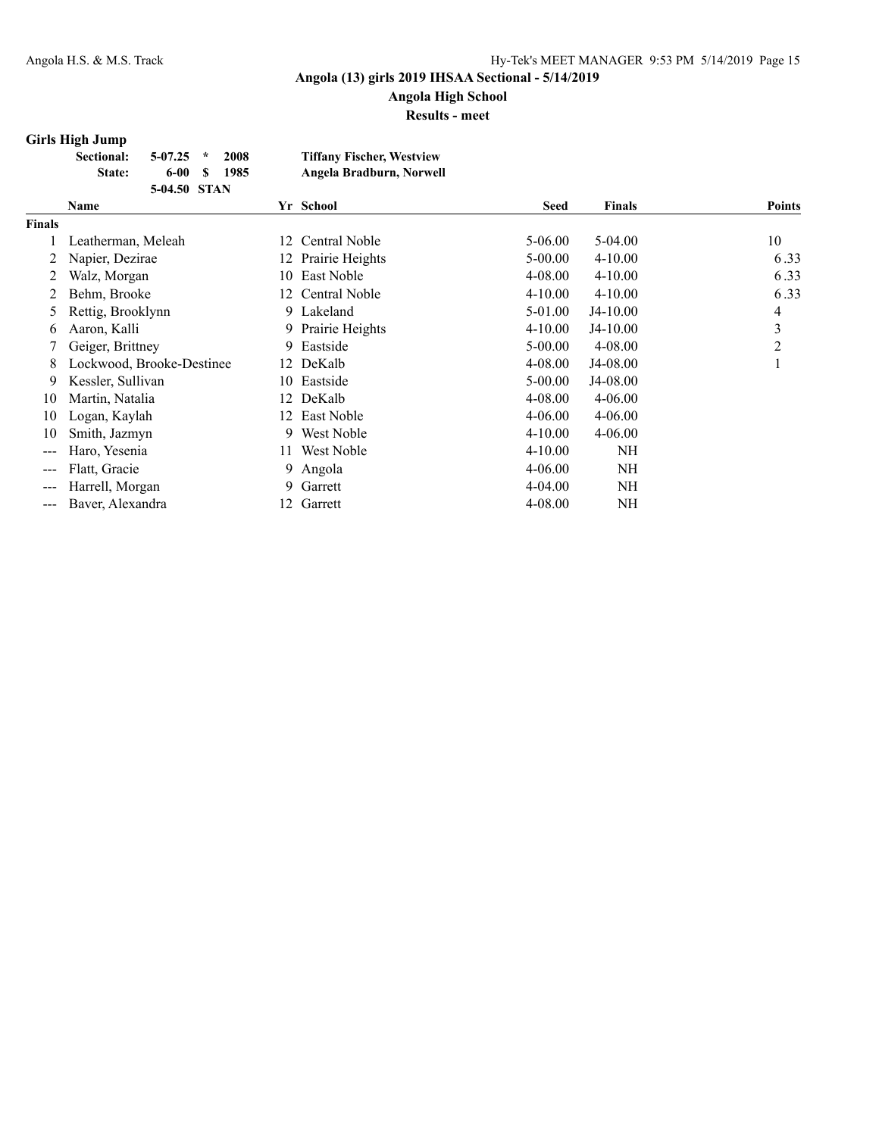# **Angola High School**

**Results - meet**

### **Girls High Jump**

| <b>Sectional:</b> | $5-07.25$ *  | 2008 | <b>Tiffany Fischer, Westview</b> |
|-------------------|--------------|------|----------------------------------|
| State:            | 6-00 S       | 1985 | Angela Bradburn, Norwell         |
|                   | 5-04.50 STAN |      |                                  |

|        | Name                      |     | Yr School          | <b>Seed</b> | <b>Finals</b> | <b>Points</b> |
|--------|---------------------------|-----|--------------------|-------------|---------------|---------------|
| Finals |                           |     |                    |             |               |               |
|        | Leatherman, Meleah        | 12  | Central Noble      | 5-06.00     | 5-04.00       | 10            |
| 2      | Napier, Dezirae           |     | 12 Prairie Heights | 5-00.00     | $4 - 10.00$   | 6.33          |
|        | Walz, Morgan              | 10- | East Noble         | $4 - 08.00$ | $4 - 10.00$   | 6.33          |
|        | Behm, Brooke              |     | 12 Central Noble   | $4 - 10.00$ | $4 - 10.00$   | 6.33          |
| 5      | Rettig, Brooklynn         |     | 9 Lakeland         | 5-01.00     | J4-10.00      | 4             |
| 6      | Aaron, Kalli              |     | 9 Prairie Heights  | $4 - 10.00$ | $J4-10.00$    | 3             |
|        | Geiger, Brittney          | 9.  | Eastside           | $5 - 00.00$ | $4 - 08.00$   | 2             |
| 8      | Lockwood, Brooke-Destinee |     | 12 DeKalb          | 4-08.00     | J4-08.00      |               |
| 9      | Kessler, Sullivan         |     | 10 Eastside        | $5 - 00.00$ | J4-08.00      |               |
| 10     | Martin, Natalia           | 12  | DeKalb             | 4-08.00     | $4 - 06.00$   |               |
| 10     | Logan, Kaylah             | 12. | East Noble         | $4 - 06.00$ | $4 - 06.00$   |               |
| 10     | Smith, Jazmyn             | 9.  | West Noble         | $4 - 10.00$ | $4 - 06.00$   |               |
|        | Haro, Yesenia             | 11  | West Noble         | $4 - 10.00$ | NH            |               |
| ---    | Flatt, Gracie             | 9.  | Angola             | $4 - 06.00$ | NH            |               |
|        | Harrell, Morgan           | 9   | Garrett            | $4 - 04.00$ | NH            |               |
|        | Baver, Alexandra          | 12  | Garrett            | $4 - 08.00$ | NH            |               |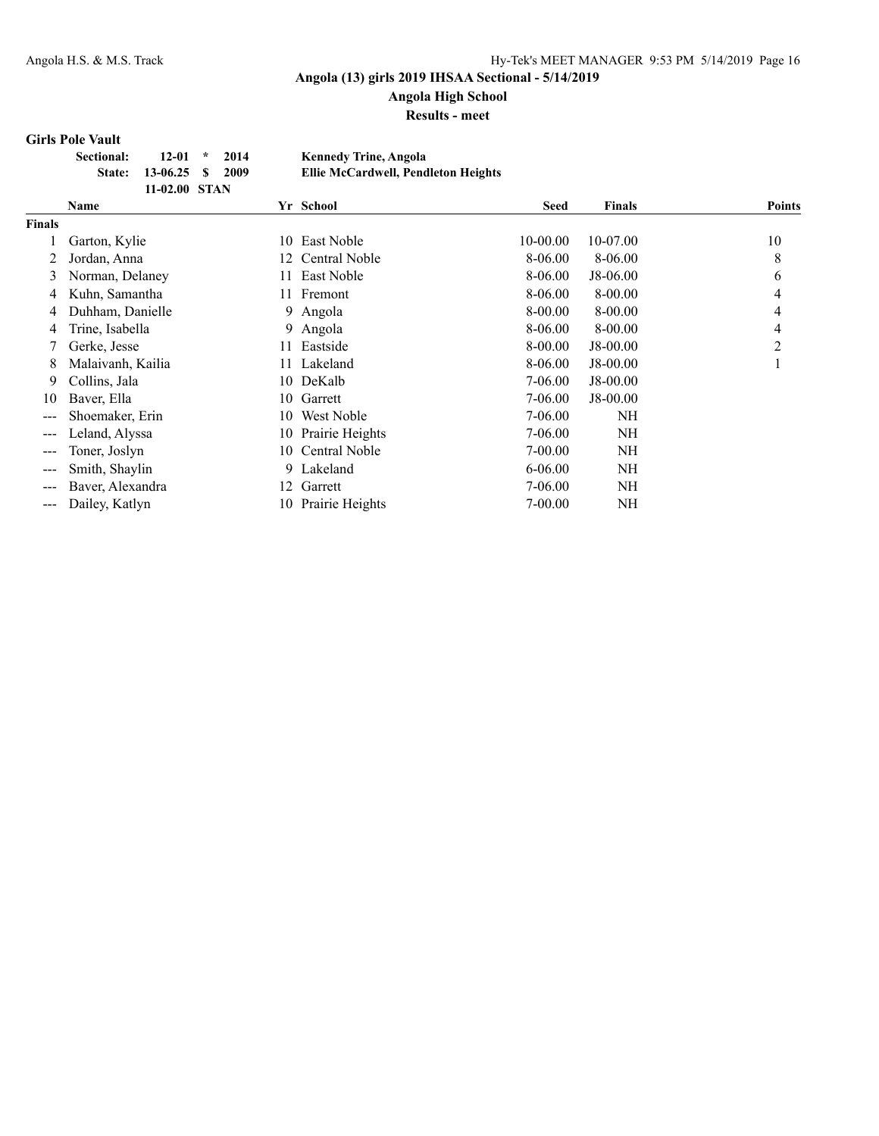## **Angola High School**

**Results - meet**

#### **Girls Pole Vault**

| <b>Sectional:</b> | $12-01$ *               | 2014 | <b>Kennedy Trine, Angola</b>        |
|-------------------|-------------------------|------|-------------------------------------|
|                   | State: 13-06.25 \$ 2009 |      | Ellie McCardwell, Pendleton Heights |
|                   | $11-02.00$ STAN         |      |                                     |

|                        | <b>Name</b>       |     | Yr School            | <b>Seed</b> | <b>Finals</b> | <b>Points</b> |
|------------------------|-------------------|-----|----------------------|-------------|---------------|---------------|
| Finals                 |                   |     |                      |             |               |               |
|                        | Garton, Kylie     | 10  | East Noble           | 10-00.00    | 10-07.00      | 10            |
| 2                      | Jordan, Anna      | 12  | <b>Central Noble</b> | 8-06.00     | 8-06.00       | 8             |
| 3                      | Norman, Delaney   | 11. | East Noble           | 8-06.00     | J8-06.00      | 6             |
| 4                      | Kuhn, Samantha    |     | 11 Fremont           | 8-06.00     | 8-00.00       | 4             |
| 4                      | Duhham, Danielle  |     | 9 Angola             | 8-00.00     | 8-00.00       | 4             |
| 4                      | Trine, Isabella   |     | 9 Angola             | 8-06.00     | 8-00.00       | 4             |
|                        | Gerke, Jesse      | 11- | Eastside             | 8-00.00     | J8-00.00      | 2             |
| 8                      | Malaivanh, Kailia |     | 11 Lakeland          | 8-06.00     | J8-00.00      |               |
| 9                      | Collins, Jala     |     | 10 DeKalb            | 7-06.00     | J8-00.00      |               |
| 10                     | Baver, Ella       |     | 10 Garrett           | 7-06.00     | $J8-00.00$    |               |
|                        | Shoemaker, Erin   | 10  | West Noble           | 7-06.00     | NH            |               |
| $---$                  | Leland, Alyssa    | 10- | Prairie Heights      | 7-06.00     | NH            |               |
| $\qquad \qquad \cdots$ | Toner, Joslyn     | 10. | Central Noble        | $7 - 00.00$ | <b>NH</b>     |               |
|                        | Smith, Shaylin    | 9.  | Lakeland             | $6 - 06.00$ | NΗ            |               |
|                        | Baver, Alexandra  | 12  | Garrett              | 7-06.00     | NΗ            |               |
| ---                    | Dailey, Katlyn    |     | 10 Prairie Heights   | $7 - 00.00$ | NΗ            |               |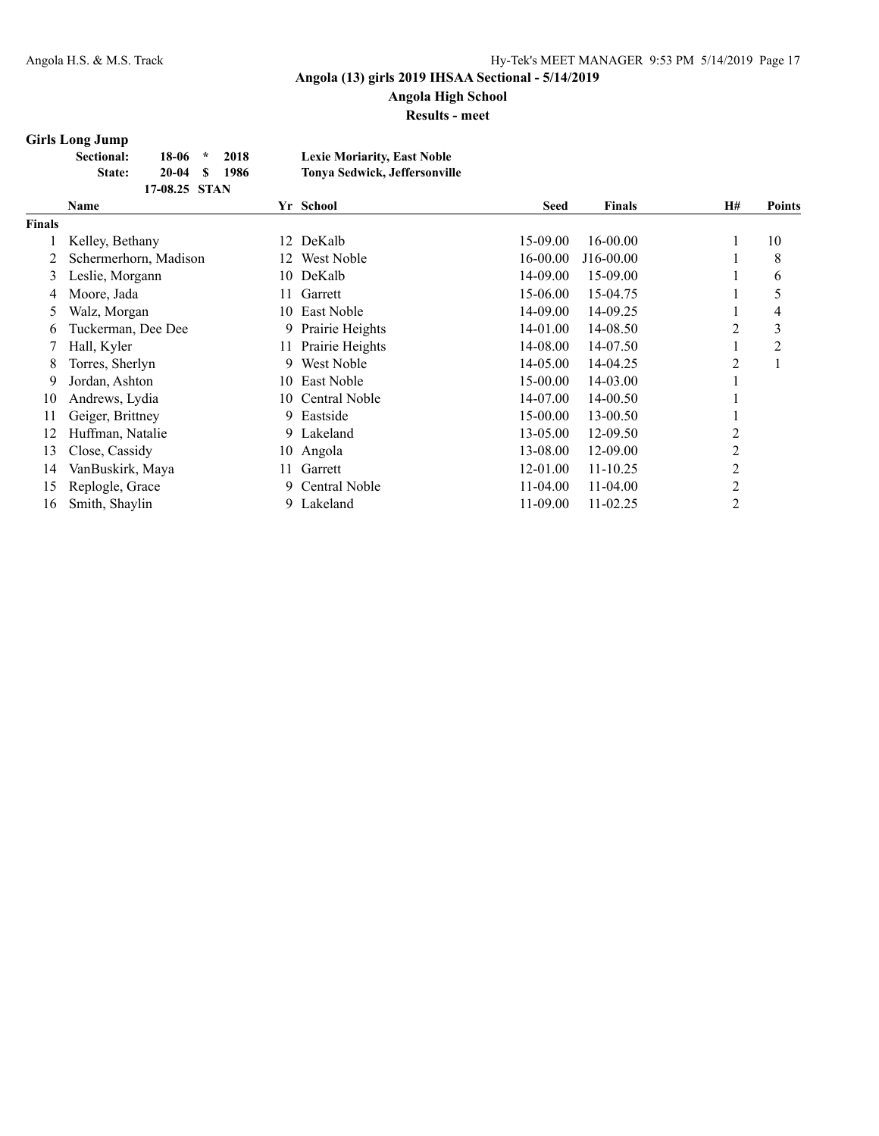## **Angola High School**

**Results - meet**

### **Girls Long Jump**

| <b>Sectional:</b> | 18-06         | $\star$ | 2018 | <b>Lexie Moriarity, East Noble</b>   |
|-------------------|---------------|---------|------|--------------------------------------|
| <b>State:</b>     | $20-04$ S     |         | 1986 | <b>Tonya Sedwick, Jeffersonville</b> |
|                   | 17-08.25 STAN |         |      |                                      |

|               | <b>Name</b>           |     | Yr School            | <b>Seed</b> | <b>Finals</b> | <b>H#</b>      | <b>Points</b> |
|---------------|-----------------------|-----|----------------------|-------------|---------------|----------------|---------------|
| <b>Finals</b> |                       |     |                      |             |               |                |               |
|               | Kelley, Bethany       | 12  | DeKalb               | 15-09.00    | 16-00.00      | 1              | 10            |
|               | Schermerhorn, Madison | 12. | West Noble           | 16-00.00    | J16-00.00     |                | 8             |
| 3             | Leslie, Morgann       | 10  | DeKalb               | 14-09.00    | 15-09.00      | л              | 6             |
| 4             | Moore, Jada           | 11  | Garrett              | 15-06.00    | 15-04.75      |                | 5             |
| 5             | Walz, Morgan          | 10  | East Noble           | 14-09.00    | 14-09.25      | I.             | 4             |
| 6             | Tuckerman, Dee Dee    | 9   | Prairie Heights      | 14-01.00    | 14-08.50      | 2              | 3             |
|               | Hall, Kyler           | 11  | Prairie Heights      | 14-08.00    | 14-07.50      |                | 2             |
| 8             | Torres, Sherlyn       | 9   | West Noble           | 14-05.00    | 14-04.25      | 2              |               |
| 9             | Jordan, Ashton        | 10  | East Noble           | 15-00.00    | 14-03.00      | 1              |               |
| 10            | Andrews, Lydia        | 10  | <b>Central Noble</b> | 14-07.00    | 14-00.50      |                |               |
| 11            | Geiger, Brittney      | 9   | Eastside             | 15-00.00    | 13-00.50      |                |               |
| 12            | Huffman, Natalie      | 9.  | Lakeland             | 13-05.00    | 12-09.50      | 2              |               |
| 13            | Close, Cassidy        |     | 10 Angola            | 13-08.00    | 12-09.00      | 2              |               |
| 14            | VanBuskirk, Maya      | 11. | Garrett              | 12-01.00    | $11 - 10.25$  | 2              |               |
| 15            | Replogle, Grace       | 9   | <b>Central Noble</b> | $11-04.00$  | $11-04.00$    | $\overline{2}$ |               |
| 16            | Smith, Shaylin        | 9.  | Lakeland             | 11-09.00    | $11 - 02.25$  | 2              |               |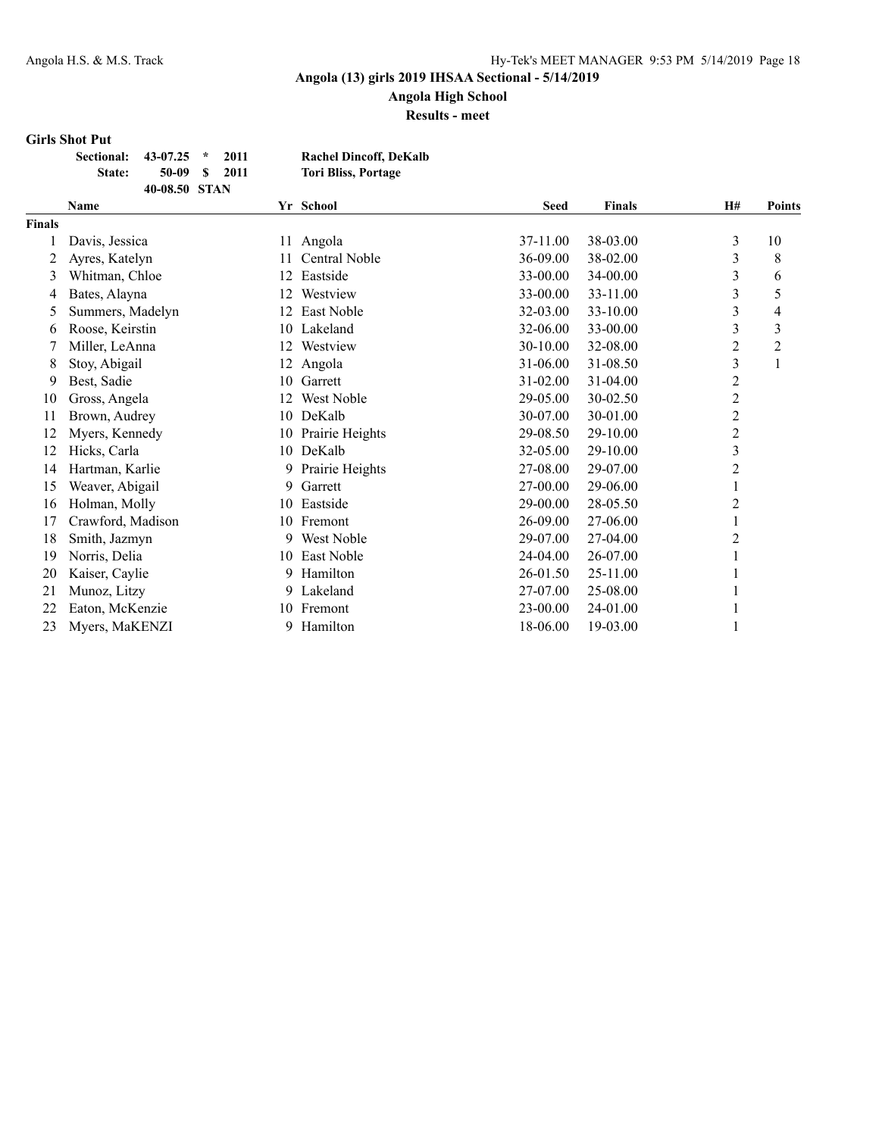**Angola High School**

**Results - meet**

#### **Girls Shot Put**

| Sectional: 43-07.25 * |               | 2011 | <b>Rachel Dincoff, DeKalb</b> |
|-----------------------|---------------|------|-------------------------------|
| State:                | $50-09$ S     | 2011 | <b>Tori Bliss, Portage</b>    |
|                       | 40-08.50 STAN |      |                               |

|               | Name              |    | Yr School       | <b>Seed</b> | <b>Finals</b> | <b>H#</b>        | <b>Points</b> |
|---------------|-------------------|----|-----------------|-------------|---------------|------------------|---------------|
| <b>Finals</b> |                   |    |                 |             |               |                  |               |
|               | Davis, Jessica    | 11 | Angola          | 37-11.00    | 38-03.00      | 3                | 10            |
| 2             | Ayres, Katelyn    | 11 | Central Noble   | 36-09.00    | 38-02.00      | 3                | 8             |
| 3             | Whitman, Chloe    | 12 | Eastside        | 33-00.00    | 34-00.00      | 3                | 6             |
| 4             | Bates, Alayna     | 12 | Westview        | 33-00.00    | 33-11.00      | 3                | 5             |
| 5             | Summers, Madelyn  | 12 | East Noble      | 32-03.00    | 33-10.00      | 3                | 4             |
| 6             | Roose, Keirstin   | 10 | Lakeland        | 32-06.00    | 33-00.00      | 3                | 3             |
|               | Miller, LeAnna    | 12 | Westview        | 30-10.00    | 32-08.00      | $\overline{c}$   | 2             |
| 8             | Stoy, Abigail     | 12 | Angola          | 31-06.00    | 31-08.50      | 3                | 1             |
| 9             | Best, Sadie       | 10 | Garrett         | 31-02.00    | 31-04.00      | $\overline{c}$   |               |
| 10            | Gross, Angela     | 12 | West Noble      | 29-05.00    | 30-02.50      | $\overline{2}$   |               |
| 11            | Brown, Audrey     | 10 | DeKalb          | 30-07.00    | 30-01.00      | $\overline{2}$   |               |
| 12            | Myers, Kennedy    | 10 | Prairie Heights | 29-08.50    | 29-10.00      | $\boldsymbol{2}$ |               |
| 12            | Hicks, Carla      |    | 10 DeKalb       | 32-05.00    | 29-10.00      | 3                |               |
| 14            | Hartman, Karlie   | 9. | Prairie Heights | 27-08.00    | 29-07.00      | $\overline{c}$   |               |
| 15            | Weaver, Abigail   | 9. | Garrett         | 27-00.00    | 29-06.00      |                  |               |
| 16            | Holman, Molly     | 10 | Eastside        | 29-00.00    | 28-05.50      | 2                |               |
| 17            | Crawford, Madison |    | 10 Fremont      | 26-09.00    | 27-06.00      |                  |               |
| 18            | Smith, Jazmyn     | 9. | West Noble      | 29-07.00    | 27-04.00      | 2                |               |
| 19            | Norris, Delia     |    | 10 East Noble   | 24-04.00    | 26-07.00      |                  |               |
| 20            | Kaiser, Caylie    | 9  | Hamilton        | 26-01.50    | 25-11.00      |                  |               |
| 21            | Munoz, Litzy      | 9. | Lakeland        | 27-07.00    | 25-08.00      |                  |               |
| 22            | Eaton, McKenzie   | 10 | Fremont         | 23-00.00    | 24-01.00      |                  |               |
| 23            | Myers, MaKENZI    | 9  | Hamilton        | 18-06.00    | 19-03.00      |                  |               |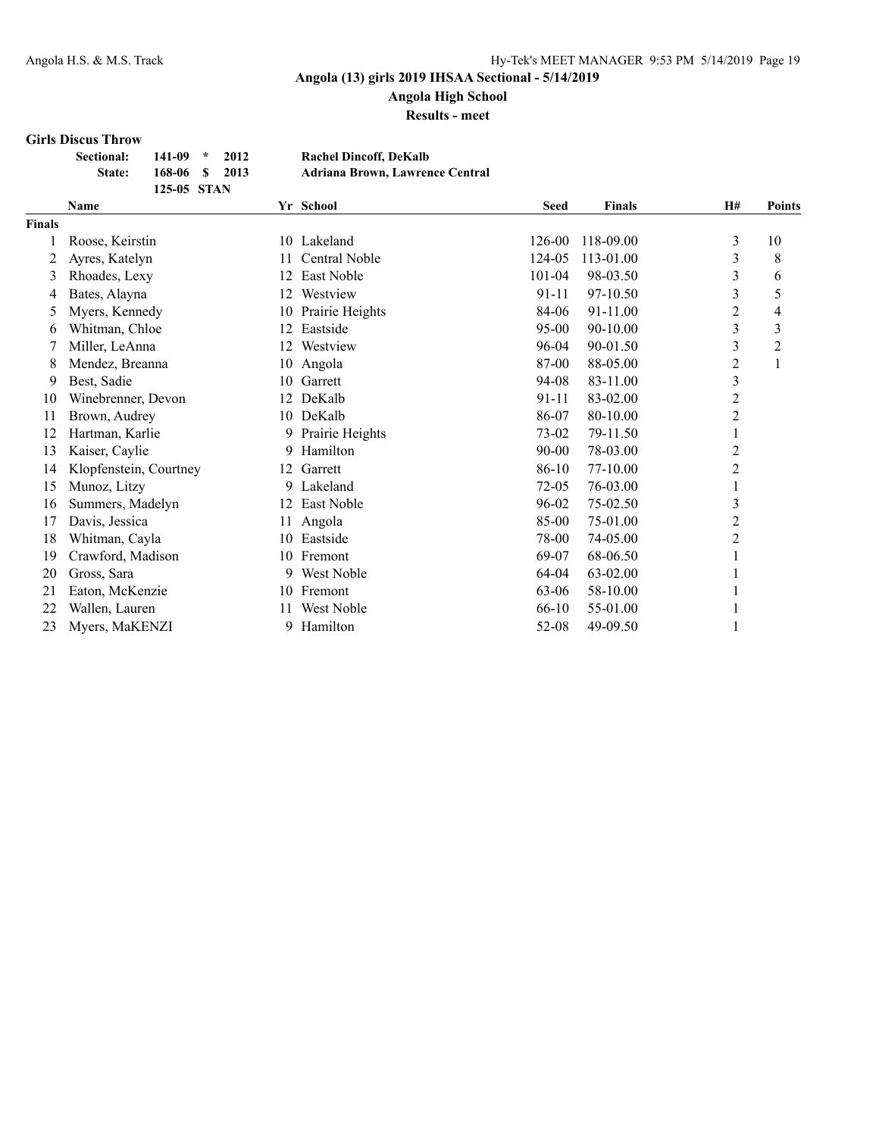**Angola High School**

**Results - meet**

#### **Girls Discus Throw**

| <b>Sectional:</b> | $141 - 09$ * | 2012           | <b>Rachel Dincoff, DeKalb</b>          |
|-------------------|--------------|----------------|----------------------------------------|
| <b>State:</b>     |              | 168-06 \$ 2013 | <b>Adriana Brown, Lawrence Central</b> |
|                   | 125-05 STAN  |                |                                        |

|               | <b>Name</b>            |    | Yr School       | <b>Seed</b> | <b>Finals</b> | H#             | <b>Points</b> |
|---------------|------------------------|----|-----------------|-------------|---------------|----------------|---------------|
| <b>Finals</b> |                        |    |                 |             |               |                |               |
|               | Roose, Keirstin        | 10 | Lakeland        | 126-00      | 118-09.00     | 3              | 10            |
| 2             | Ayres, Katelyn         | 11 | Central Noble   | 124-05      | 113-01.00     | 3              | 8             |
| 3             | Rhoades, Lexy          | 12 | East Noble      | 101-04      | 98-03.50      | 3              | 6             |
| 4             | Bates, Alayna          | 12 | Westview        | 91-11       | 97-10.50      | 3              | 5             |
| 5             | Myers, Kennedy         | 10 | Prairie Heights | 84-06       | 91-11.00      | 2              | 4             |
| 6             | Whitman, Chloe         | 12 | Eastside        | $95 - 00$   | 90-10.00      | 3              | 3             |
|               | Miller, LeAnna         | 12 | Westview        | 96-04       | 90-01.50      | 3              | 2             |
| 8             | Mendez, Breanna        | 10 | Angola          | 87-00       | 88-05.00      | $\overline{c}$ |               |
| 9             | Best, Sadie            | 10 | Garrett         | 94-08       | 83-11.00      | 3              |               |
| 10            | Winebrenner, Devon     | 12 | DeKalb          | $91 - 11$   | 83-02.00      | $\overline{c}$ |               |
| 11            | Brown, Audrey          |    | 10 DeKalb       | 86-07       | 80-10.00      | 2              |               |
| 12            | Hartman, Karlie        | 9  | Prairie Heights | 73-02       | 79-11.50      |                |               |
| 13            | Kaiser, Caylie         | 9  | Hamilton        | $90 - 00$   | 78-03.00      | $\overline{c}$ |               |
| 14            | Klopfenstein, Courtney | 12 | Garrett         | 86-10       | 77-10.00      | $\overline{2}$ |               |
| 15            | Munoz, Litzy           | 9. | Lakeland        | 72-05       | 76-03.00      |                |               |
| 16            | Summers, Madelyn       | 12 | East Noble      | 96-02       | 75-02.50      | 3              |               |
| 17            | Davis, Jessica         | 11 | Angola          | 85-00       | 75-01.00      | $\mathbf{2}$   |               |
| 18            | Whitman, Cayla         | 10 | Eastside        | 78-00       | 74-05.00      | 2              |               |
| 19            | Crawford, Madison      | 10 | Fremont         | 69-07       | 68-06.50      |                |               |
| 20            | Gross, Sara            | 9  | West Noble      | 64-04       | 63-02.00      |                |               |
| 21            | Eaton, McKenzie        | 10 | Fremont         | 63-06       | 58-10.00      |                |               |
| 22            | Wallen, Lauren         | 11 | West Noble      | 66-10       | 55-01.00      |                |               |
| 23            | Myers, MaKENZI         | 9. | Hamilton        | 52-08       | 49-09.50      |                |               |